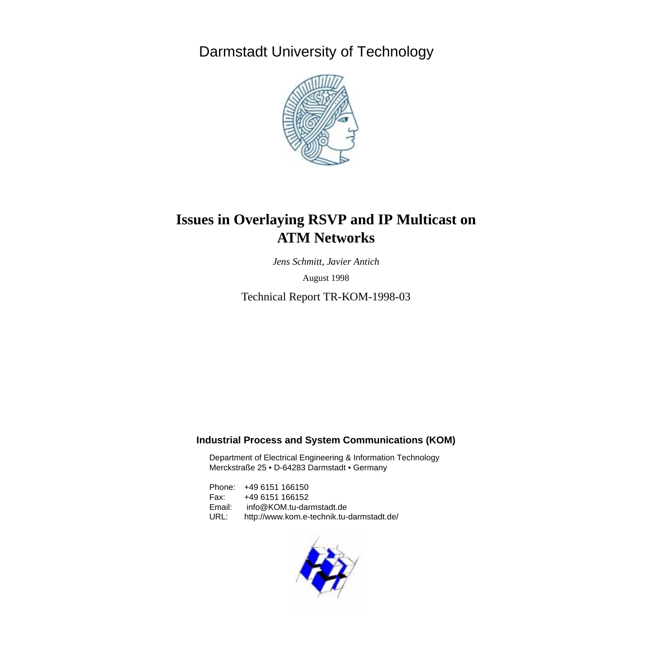Darmstadt University of Technology



# **Issues in Overlaying RSVP and IP Multicast on ATM Networks**

*Jens Schmitt, Javier Antich*

August 1998

Technical Report TR-KOM-1998-03

### **Industrial Process and System Communications (KOM)**

Department of Electrical Engineering & Information Technology Merckstraße 25 • D-64283 Darmstadt • Germany

Phone: +49 6151 166150 Fax: +49 6151 166152 Email: info@KOM.tu-darmstadt.de URL: http://www.kom.e-technik.tu-darmstadt.de/

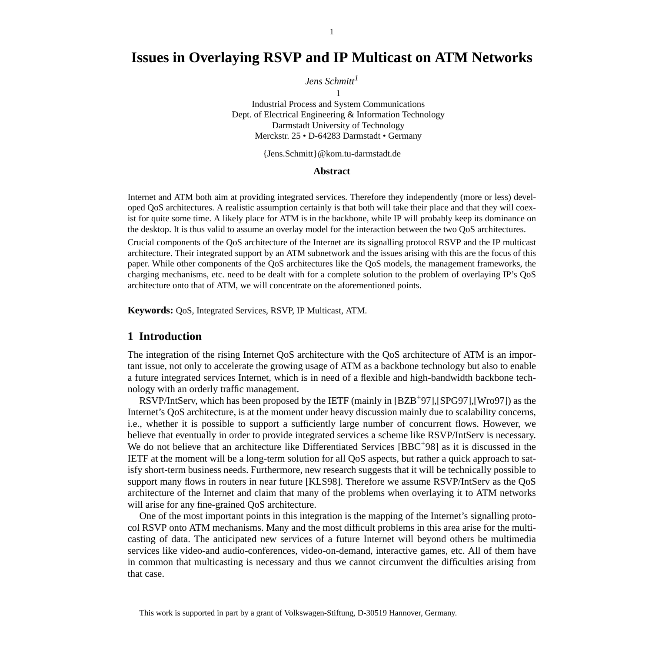# **Issues in Overlaying RSVP and IP Multicast on ATM Networks**

*Jens Schmitt<sup>1</sup>*

Industrial Process and System Communications Dept. of Electrical Engineering & Information Technology Darmstadt University of Technology Merckstr. 25 • D-64283 Darmstadt • Germany

1

{Jens.Schmitt}@kom.tu-darmstadt.de

#### **Abstract**

Internet and ATM both aim at providing integrated services. Therefore they independently (more or less) developed QoS architectures. A realistic assumption certainly is that both will take their place and that they will coexist for quite some time. A likely place for ATM is in the backbone, while IP will probably keep its dominance on the desktop. It is thus valid to assume an overlay model for the interaction between the two QoS architectures.

Crucial components of the QoS architecture of the Internet are its signalling protocol RSVP and the IP multicast architecture. Their integrated support by an ATM subnetwork and the issues arising with this are the focus of this paper. While other components of the QoS architectures like the QoS models, the management frameworks, the charging mechanisms, etc. need to be dealt with for a complete solution to the problem of overlaying IP's QoS architecture onto that of ATM, we will concentrate on the aforementioned points.

**Keywords:** QoS, Integrated Services, RSVP, IP Multicast, ATM.

### **1 Introduction**

The integration of the rising Internet QoS architecture with the QoS architecture of ATM is an important issue, not only to accelerate the growing usage of ATM as a backbone technology but also to enable a future integrated services Internet, which is in need of a flexible and high-bandwidth backbone technology with an orderly traffic management.

RSVP/IntServ, which has been proposed by the IETF (mainly in [BZB<sup>+</sup>97], [SPG97], [Wro97]) as the Internet's QoS architecture, is at the moment under heavy discussion mainly due to scalability concerns, i.e., whether it is possible to support a sufficiently large number of concurrent flows. However, we believe that eventually in order to provide integrated services a scheme like RSVP/IntServ is necessary. We do not believe that an architecture like Differentiated Services [BBC<sup>+</sup>98] as it is discussed in the IETF at the moment will be a long-term solution for all QoS aspects, but rather a quick approach to satisfy short-term business needs. Furthermore, new research suggests that it will be technically possible to support many flows in routers in near future [KLS98]. Therefore we assume RSVP/IntServ as the QoS architecture of the Internet and claim that many of the problems when overlaying it to ATM networks will arise for any fine-grained QoS architecture.

One of the most important points in this integration is the mapping of the Internet's signalling protocol RSVP onto ATM mechanisms. Many and the most difficult problems in this area arise for the multicasting of data. The anticipated new services of a future Internet will beyond others be multimedia services like video-and audio-conferences, video-on-demand, interactive games, etc. All of them have in common that multicasting is necessary and thus we cannot circumvent the difficulties arising from that case.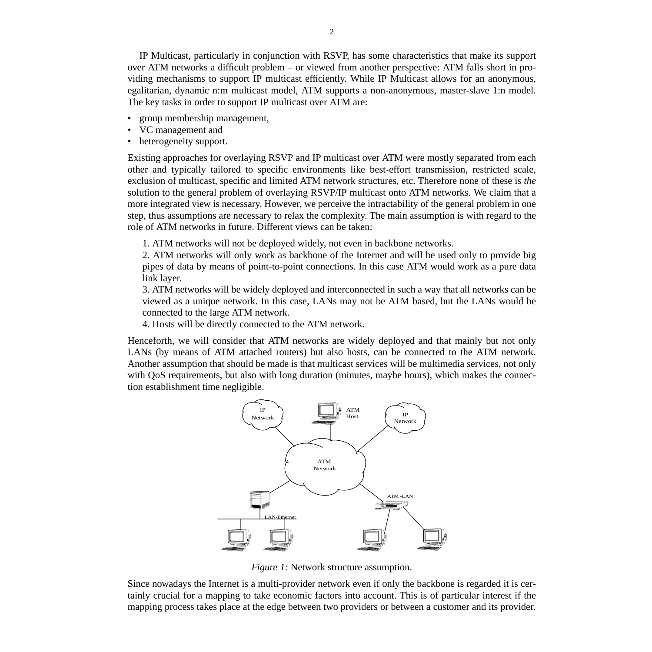IP Multicast, particularly in conjunction with RSVP, has some characteristics that make its support over ATM networks a difficult problem – or viewed from another perspective: ATM falls short in providing mechanisms to support IP multicast efficiently. While IP Multicast allows for an anonymous, egalitarian, dynamic n:m multicast model, ATM supports a non-anonymous, master-slave 1:n model. The key tasks in order to support IP multicast over ATM are:

- group membership management,
- VC management and
- heterogeneity support.

Existing approaches for overlaying RSVP and IP multicast over ATM were mostly separated from each other and typically tailored to specific environments like best-effort transmission, restricted scale, exclusion of multicast, specific and limited ATM network structures, etc. Therefore none of these is *the* solution to the general problem of overlaying RSVP/IP multicast onto ATM networks. We claim that a more integrated view is necessary. However, we perceive the intractability of the general problem in one step, thus assumptions are necessary to relax the complexity. The main assumption is with regard to the role of ATM networks in future. Different views can be taken:

1. ATM networks will not be deployed widely, not even in backbone networks.

2. ATM networks will only work as backbone of the Internet and will be used only to provide big pipes of data by means of point-to-point connections. In this case ATM would work as a pure data link layer.

3. ATM networks will be widely deployed and interconnected in such a way that all networks can be viewed as a unique network. In this case, LANs may not be ATM based, but the LANs would be connected to the large ATM network.

4. Hosts will be directly connected to the ATM network.

Henceforth, we will consider that ATM networks are widely deployed and that mainly but not only LANs (by means of ATM attached routers) but also hosts, can be connected to the ATM network. Another assumption that should be made is that multicast services will be multimedia services, not only with QoS requirements, but also with long duration (minutes, maybe hours), which makes the connection establishment time negligible.



*Figure 1:* Network structure assumption.

Since nowadays the Internet is a multi-provider network even if only the backbone is regarded it is certainly crucial for a mapping to take economic factors into account. This is of particular interest if the mapping process takes place at the edge between two providers or between a customer and its provider.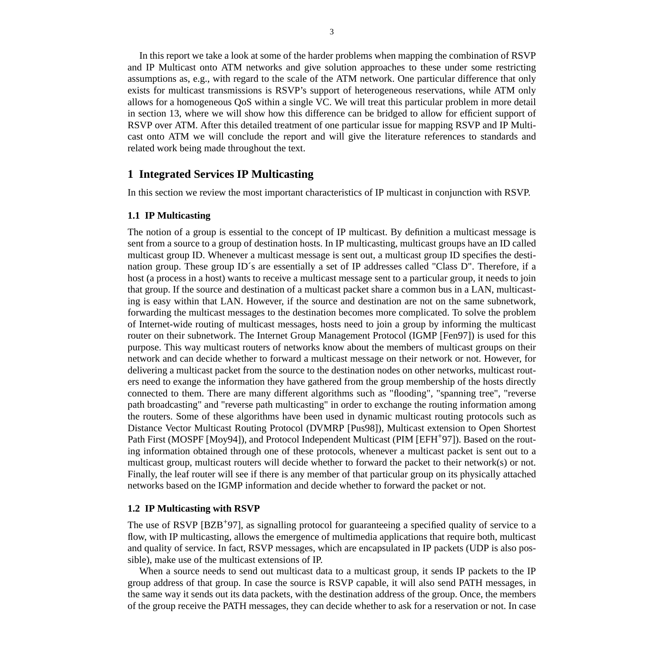In this report we take a look at some of the harder problems when mapping the combination of RSVP and IP Multicast onto ATM networks and give solution approaches to these under some restricting assumptions as, e.g., with regard to the scale of the ATM network. One particular difference that only exists for multicast transmissions is RSVP's support of heterogeneous reservations, while ATM only allows for a homogeneous QoS within a single VC. We will treat this particular problem in more detail in [section 13,](#page-42-0) where we will show how this difference can be bridged to allow for efficient support of RSVP over ATM. After this detailed treatment of one particular issue for mapping RSVP and IP Multicast onto ATM we will conclude the report and will give the literature references to standards and related work being made throughout the text.

### **1 Integrated Services IP Multicasting**

In this section we review the most important characteristics of IP multicast in conjunction with RSVP.

### **1.1 IP Multicasting**

The notion of a group is essential to the concept of IP multicast. By definition a multicast message is sent from a source to a group of destination hosts. In IP multicasting, multicast groups have an ID called multicast group ID. Whenever a multicast message is sent out, a multicast group ID specifies the destination group. These group ID´s are essentially a set of IP addresses called "Class D". Therefore, if a host (a process in a host) wants to receive a multicast message sent to a particular group, it needs to join that group. If the source and destination of a multicast packet share a common bus in a LAN, multicasting is easy within that LAN. However, if the source and destination are not on the same subnetwork, forwarding the multicast messages to the destination becomes more complicated. To solve the problem of Internet-wide routing of multicast messages, hosts need to join a group by informing the multicast router on their subnetwork. The Internet Group Management Protocol (IGMP [Fen97]) is used for this purpose. This way multicast routers of networks know about the members of multicast groups on their network and can decide whether to forward a multicast message on their network or not. However, for delivering a multicast packet from the source to the destination nodes on other networks, multicast routers need to exange the information they have gathered from the group membership of the hosts directly connected to them. There are many different algorithms such as "flooding", "spanning tree", "reverse path broadcasting" and "reverse path multicasting" in order to exchange the routing information among the routers. Some of these algorithms have been used in dynamic multicast routing protocols such as Distance Vector Multicast Routing Protocol (DVMRP [Pus98]), Multicast extension to Open Shortest Path First (MOSPF [Moy94]), and Protocol Independent Multicast (PIM [EFH<sup>+</sup>97]). Based on the routing information obtained through one of these protocols, whenever a multicast packet is sent out to a multicast group, multicast routers will decide whether to forward the packet to their network(s) or not. Finally, the leaf router will see if there is any member of that particular group on its physically attached networks based on the IGMP information and decide whether to forward the packet or not.

### **1.2 IP Multicasting with RSVP**

The use of RSVP [BZB<sup>+</sup>97], as signalling protocol for guaranteeing a specified quality of service to a flow, with IP multicasting, allows the emergence of multimedia applications that require both, multicast and quality of service. In fact, RSVP messages, which are encapsulated in IP packets (UDP is also possible), make use of the multicast extensions of IP.

When a source needs to send out multicast data to a multicast group, it sends IP packets to the IP group address of that group. In case the source is RSVP capable, it will also send PATH messages, in the same way it sends out its data packets, with the destination address of the group. Once, the members of the group receive the PATH messages, they can decide whether to ask for a reservation or not. In case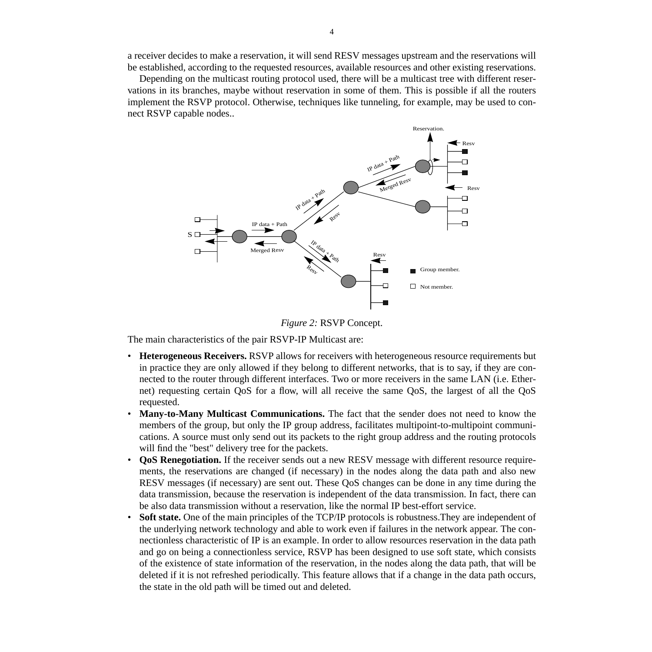a receiver decides to make a reservation, it will send RESV messages upstream and the reservations will be established, according to the requested resources, available resources and other existing reservations.

Depending on the multicast routing protocol used, there will be a multicast tree with different reservations in its branches, maybe without reservation in some of them. This is possible if all the routers implement the RSVP protocol. Otherwise, techniques like tunneling, for example, may be used to connect RSVP capable nodes..



*Figure 2:* RSVP Concept.

The main characteristics of the pair RSVP-IP Multicast are:

- **Heterogeneous Receivers.** RSVP allows for receivers with heterogeneous resource requirements but in practice they are only allowed if they belong to different networks, that is to say, if they are connected to the router through different interfaces. Two or more receivers in the same LAN (i.e. Ethernet) requesting certain QoS for a flow, will all receive the same QoS, the largest of all the QoS requested.
- **Many-to-Many Multicast Communications.** The fact that the sender does not need to know the members of the group, but only the IP group address, facilitates multipoint-to-multipoint communications. A source must only send out its packets to the right group address and the routing protocols will find the "best" delivery tree for the packets.
- **QoS Renegotiation.** If the receiver sends out a new RESV message with different resource requirements, the reservations are changed (if necessary) in the nodes along the data path and also new RESV messages (if necessary) are sent out. These QoS changes can be done in any time during the data transmission, because the reservation is independent of the data transmission. In fact, there can be also data transmission without a reservation, like the normal IP best-effort service.
- **Soft state.** One of the main principles of the TCP/IP protocols is robustness.They are independent of the underlying network technology and able to work even if failures in the network appear. The connectionless characteristic of IP is an example. In order to allow resources reservation in the data path and go on being a connectionless service, RSVP has been designed to use soft state, which consists of the existence of state information of the reservation, in the nodes along the data path, that will be deleted if it is not refreshed periodically. This feature allows that if a change in the data path occurs, the state in the old path will be timed out and deleted.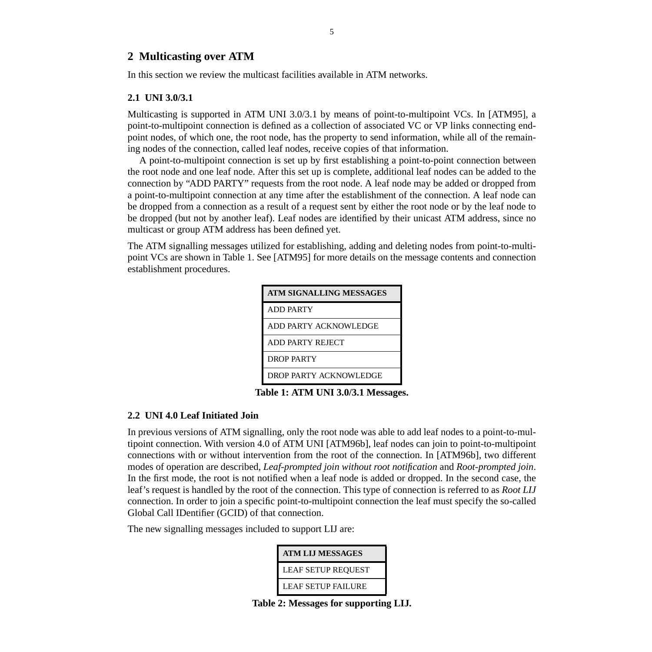# **2 Multicasting over ATM**

In this section we review the multicast facilities available in ATM networks.

### **2.1 UNI 3.0/3.1**

Multicasting is supported in ATM UNI 3.0/3.1 by means of point-to-multipoint VCs. In [ATM95], a point-to-multipoint connection is defined as a collection of associated VC or VP links connecting endpoint nodes, of which one, the root node, has the property to send information, while all of the remaining nodes of the connection, called leaf nodes, receive copies of that information.

A point-to-multipoint connection is set up by first establishing a point-to-point connection between the root node and one leaf node. After this set up is complete, additional leaf nodes can be added to the connection by "ADD PARTY" requests from the root node. A leaf node may be added or dropped from a point-to-multipoint connection at any time after the establishment of the connection. A leaf node can be dropped from a connection as a result of a request sent by either the root node or by the leaf node to be dropped (but not by another leaf). Leaf nodes are identified by their unicast ATM address, since no multicast or group ATM address has been defined yet.

The ATM signalling messages utilized for establishing, adding and deleting nodes from point-to-multipoint VCs are shown in Table 1. See [ATM95] for more details on the message contents and connection establishment procedures.



**Table 1: ATM UNI 3.0/3.1 Messages.**

### **2.2 UNI 4.0 Leaf Initiated Join**

In previous versions of ATM signalling, only the root node was able to add leaf nodes to a point-to-multipoint connection. With version 4.0 of ATM UNI [ATM96b], leaf nodes can join to point-to-multipoint connections with or without intervention from the root of the connection. In [ATM96b], two different modes of operation are described, *Leaf-prompted join without root notification* and *Root-prompted join*. In the first mode, the root is not notified when a leaf node is added or dropped. In the second case, the leaf's request is handled by the root of the connection. This type of connection is referred to as *Root LIJ* connection. In order to join a specific point-to-multipoint connection the leaf must specify the so-called Global Call IDentifier (GCID) of that connection.

The new signalling messages included to support LIJ are:

| <b>ATM LIJ MESSAGES</b>   |
|---------------------------|
| <b>LEAF SETUP REQUEST</b> |
| <b>LEAF SETUP FAILURE</b> |

**Table 2: Messages for supporting LIJ.**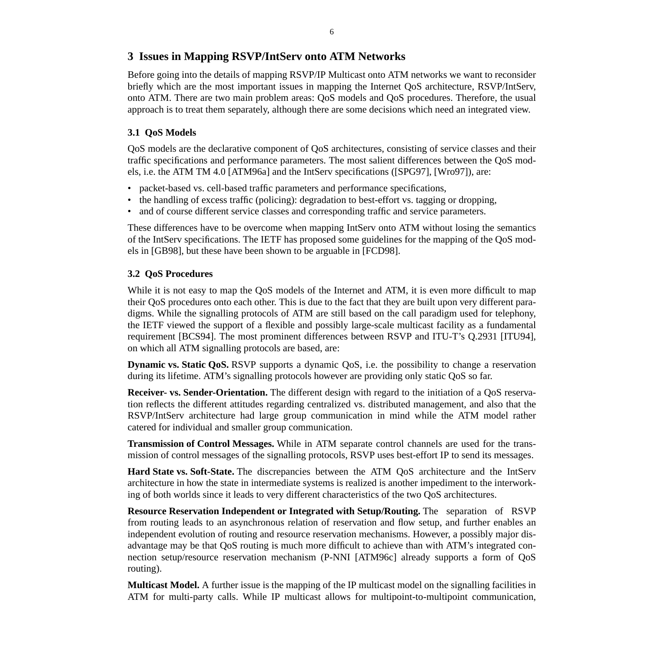# **3 Issues in Mapping RSVP/IntServ onto ATM Networks**

Before going into the details of mapping RSVP/IP Multicast onto ATM networks we want to reconsider briefly which are the most important issues in mapping the Internet QoS architecture, RSVP/IntServ, onto ATM. There are two main problem areas: QoS models and QoS procedures. Therefore, the usual approach is to treat them separately, although there are some decisions which need an integrated view.

### **3.1 QoS Models**

QoS models are the declarative component of QoS architectures, consisting of service classes and their traffic specifications and performance parameters. The most salient differences between the QoS models, i.e. the ATM TM 4.0 [ATM96a] and the IntServ specifications ([SPG97], [Wro97]), are:

- packet-based vs. cell-based traffic parameters and performance specifications,
- the handling of excess traffic (policing): degradation to best-effort vs. tagging or dropping,
- and of course different service classes and corresponding traffic and service parameters.

These differences have to be overcome when mapping IntServ onto ATM without losing the semantics of the IntServ specifications. The IETF has proposed some guidelines for the mapping of the QoS models in [GB98], but these have been shown to be arguable in [FCD98].

### **3.2 QoS Procedures**

While it is not easy to map the QoS models of the Internet and ATM, it is even more difficult to map their QoS procedures onto each other. This is due to the fact that they are built upon very different paradigms. While the signalling protocols of ATM are still based on the call paradigm used for telephony, the IETF viewed the support of a flexible and possibly large-scale multicast facility as a fundamental requirement [BCS94]. The most prominent differences between RSVP and ITU-T's Q.2931 [ITU94], on which all ATM signalling protocols are based, are:

**Dynamic vs. Static QoS.** RSVP supports a dynamic QoS, i.e. the possibility to change a reservation during its lifetime. ATM's signalling protocols however are providing only static QoS so far.

**Receiver- vs. Sender-Orientation.** The different design with regard to the initiation of a QoS reservation reflects the different attitudes regarding centralized vs. distributed management, and also that the RSVP/IntServ architecture had large group communication in mind while the ATM model rather catered for individual and smaller group communication.

**Transmission of Control Messages.** While in ATM separate control channels are used for the transmission of control messages of the signalling protocols, RSVP uses best-effort IP to send its messages.

**Hard State vs. Soft-State.** The discrepancies between the ATM QoS architecture and the IntServ architecture in how the state in intermediate systems is realized is another impediment to the interworking of both worlds since it leads to very different characteristics of the two QoS architectures.

**Resource Reservation Independent or Integrated with Setup/Routing.** The separation of RSVP from routing leads to an asynchronous relation of reservation and flow setup, and further enables an independent evolution of routing and resource reservation mechanisms. However, a possibly major disadvantage may be that QoS routing is much more difficult to achieve than with ATM's integrated connection setup/resource reservation mechanism (P-NNI [ATM96c] already supports a form of QoS routing).

**Multicast Model.** A further issue is the mapping of the IP multicast model on the signalling facilities in ATM for multi-party calls. While IP multicast allows for multipoint-to-multipoint communication,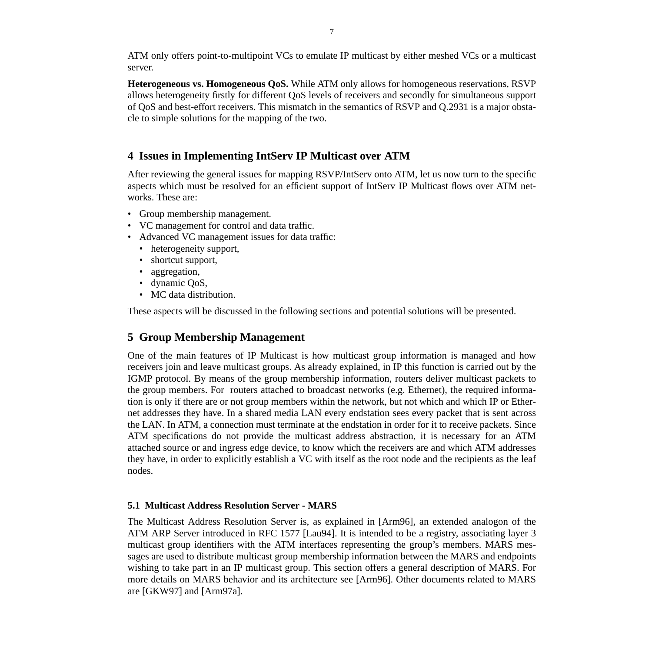<span id="page-7-0"></span>ATM only offers point-to-multipoint VCs to emulate IP multicast by either meshed VCs or a multicast server.

**Heterogeneous vs. Homogeneous QoS.** While ATM only allows for homogeneous reservations, RSVP allows heterogeneity firstly for different QoS levels of receivers and secondly for simultaneous support of QoS and best-effort receivers. This mismatch in the semantics of RSVP and Q.2931 is a major obstacle to simple solutions for the mapping of the two.

# **4 Issues in Implementing IntServ IP Multicast over ATM**

After reviewing the general issues for mapping RSVP/IntServ onto ATM, let us now turn to the specific aspects which must be resolved for an efficient support of IntServ IP Multicast flows over ATM networks. These are:

- Group membership management.
- VC management for control and data traffic.
- Advanced VC management issues for data traffic:
	- heterogeneity support,
	- shortcut support,
	- aggregation,
	- dynamic QoS,
	- MC data distribution.

These aspects will be discussed in the following sections and potential solutions will be presented.

# **5 Group Membership Management**

One of the main features of IP Multicast is how multicast group information is managed and how receivers join and leave multicast groups. As already explained, in IP this function is carried out by the IGMP protocol. By means of the group membership information, routers deliver multicast packets to the group members. For routers attached to broadcast networks (e.g. Ethernet), the required information is only if there are or not group members within the network, but not which and which IP or Ethernet addresses they have. In a shared media LAN every endstation sees every packet that is sent across the LAN. In ATM, a connection must terminate at the endstation in order for it to receive packets. Since ATM specifications do not provide the multicast address abstraction, it is necessary for an ATM attached source or and ingress edge device, to know which the receivers are and which ATM addresses they have, in order to explicitly establish a VC with itself as the root node and the recipients as the leaf nodes.

### **5.1 Multicast Address Resolution Server - MARS**

The Multicast Address Resolution Server is, as explained in [Arm96], an extended analogon of the ATM ARP Server introduced in RFC 1577 [Lau94]. It is intended to be a registry, associating layer 3 multicast group identifiers with the ATM interfaces representing the group's members. MARS messages are used to distribute multicast group membership information between the MARS and endpoints wishing to take part in an IP multicast group. This section offers a general description of MARS. For more details on MARS behavior and its architecture see [Arm96]. Other documents related to MARS are [GKW97] and [Arm97a].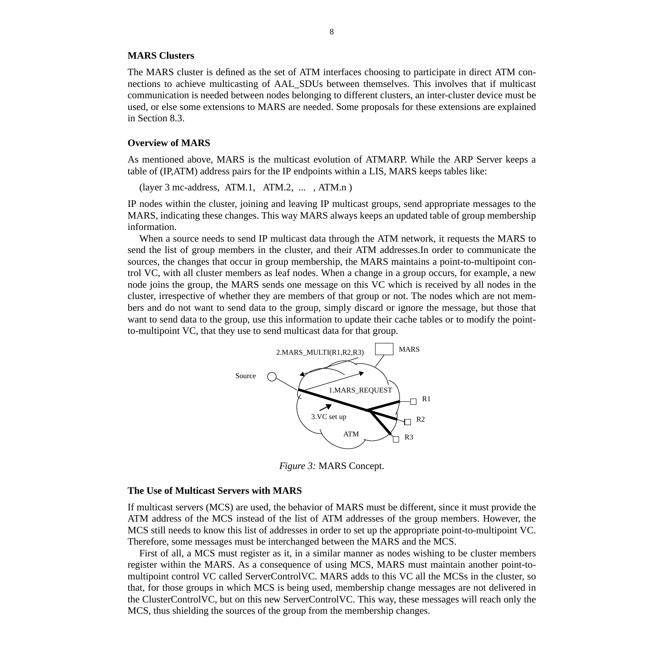#### **MARS Clusters**

The MARS cluster is defined as the set of ATM interfaces choosing to participate in direct ATM connections to achieve multicasting of AAL\_SDUs between themselves. This involves that if multicast communication is needed between nodes belonging to different clusters, an inter-cluster device must be used, or else some extensions to MARS are needed. Some proposals for these extensions are explained in [Section 8.3.](#page-22-0)

#### **Overview of MARS**

As mentioned above, MARS is the multicast evolution of ATMARP. While the ARP Server keeps a table of (IP,ATM) address pairs for the IP endpoints within a LIS, MARS keeps tables like:

(layer 3 mc-address, ATM.1, ATM.2, ..., ATM.n)

IP nodes within the cluster, joining and leaving IP multicast groups, send appropriate messages to the MARS, indicating these changes. This way MARS always keeps an updated table of group membership information.

When a source needs to send IP multicast data through the ATM network, it requests the MARS to send the list of group members in the cluster, and their ATM addresses.In order to communicate the sources, the changes that occur in group membership, the MARS maintains a point-to-multipoint control VC, with all cluster members as leaf nodes. When a change in a group occurs, for example, a new node joins the group, the MARS sends one message on this VC which is received by all nodes in the cluster, irrespective of whether they are members of that group or not. The nodes which are not members and do not want to send data to the group, simply discard or ignore the message, but those that want to send data to the group, use this information to update their cache tables or to modify the pointto-multipoint VC, that they use to send multicast data for that group.



*Figure 3:* MARS Concept.

#### **The Use of Multicast Servers with MARS**

If multicast servers (MCS) are used, the behavior of MARS must be different, since it must provide the ATM address of the MCS instead of the list of ATM addresses of the group members. However, the MCS still needs to know this list of addresses in order to set up the appropriate point-to-multipoint VC. Therefore, some messages must be interchanged between the MARS and the MCS.

First of all, a MCS must register as it, in a similar manner as nodes wishing to be cluster members register within the MARS. As a consequence of using MCS, MARS must maintain another point-tomultipoint control VC called ServerControlVC. MARS adds to this VC all the MCSs in the cluster, so that, for those groups in which MCS is being used, membership change messages are not delivered in the ClusterControlVC, but on this new ServerControlVC. This way, these messages will reach only the MCS, thus shielding the sources of the group from the membership changes.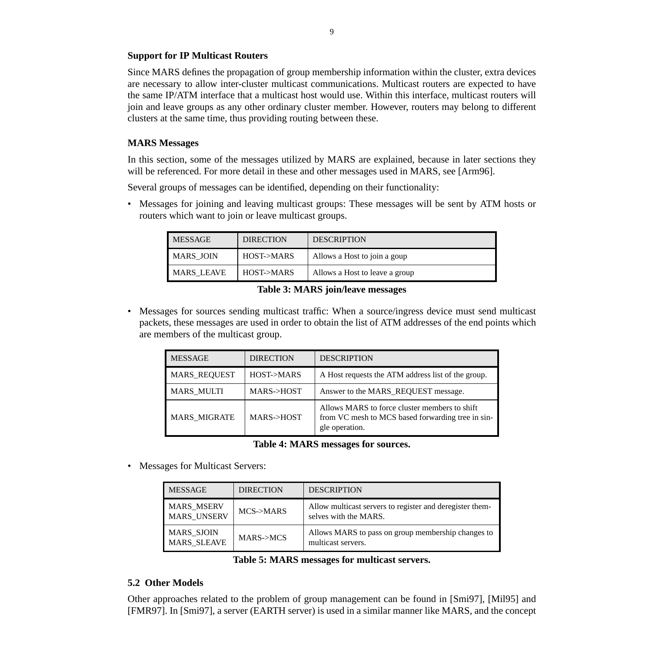### **Support for IP Multicast Routers**

Since MARS defines the propagation of group membership information within the cluster, extra devices are necessary to allow inter-cluster multicast communications. Multicast routers are expected to have the same IP/ATM interface that a multicast host would use. Within this interface, multicast routers will join and leave groups as any other ordinary cluster member. However, routers may belong to different clusters at the same time, thus providing routing between these.

### **MARS Messages**

In this section, some of the messages utilized by MARS are explained, because in later sections they will be referenced. For more detail in these and other messages used in MARS, see [Arm96].

Several groups of messages can be identified, depending on their functionality:

• Messages for joining and leaving multicast groups: These messages will be sent by ATM hosts or routers which want to join or leave multicast groups.

| <b>MESSAGE</b>    | <b>DIRECTION</b> | <b>DESCRIPTION</b>             |
|-------------------|------------------|--------------------------------|
| <b>MARS JOIN</b>  | HOST->MARS       | Allows a Host to join a goup   |
| <b>MARS LEAVE</b> | HOST->MARS       | Allows a Host to leave a group |

### **Table 3: MARS join/leave messages**

• Messages for sources sending multicast traffic: When a source/ingress device must send multicast packets, these messages are used in order to obtain the list of ATM addresses of the end points which are members of the multicast group.

| <b>MESSAGE</b>      | <b>DIRECTION</b> | <b>DESCRIPTION</b>                                                                                                   |
|---------------------|------------------|----------------------------------------------------------------------------------------------------------------------|
| <b>MARS REQUEST</b> | HOST->MARS       | A Host requests the ATM address list of the group.                                                                   |
| <b>MARS MULTI</b>   | MARS->HOST       | Answer to the MARS_REQUEST message.                                                                                  |
| <b>MARS MIGRATE</b> | MARS->HOST       | Allows MARS to force cluster members to shift<br>from VC mesh to MCS based forwarding tree in sin-<br>gle operation. |

• Messages for Multicast Servers:

| <b>MESSAGE</b>                          | <b>DIRECTION</b> | <b>DESCRIPTION</b>                                                                |
|-----------------------------------------|------------------|-----------------------------------------------------------------------------------|
| <b>MARS MSERV</b><br><b>MARS UNSERV</b> | MCS->MARS        | Allow multicast servers to register and deregister them-<br>selves with the MARS. |
| <b>MARS SJOIN</b><br><b>MARS SLEAVE</b> | MARS->MCS        | Allows MARS to pass on group membership changes to<br>multicast servers.          |

### **Table 5: MARS messages for multicast servers.**

### **5.2 Other Models**

Other approaches related to the problem of group management can be found in [Smi97], [Mil95] and [FMR97]. In [Smi97], a server (EARTH server) is used in a similar manner like MARS, and the concept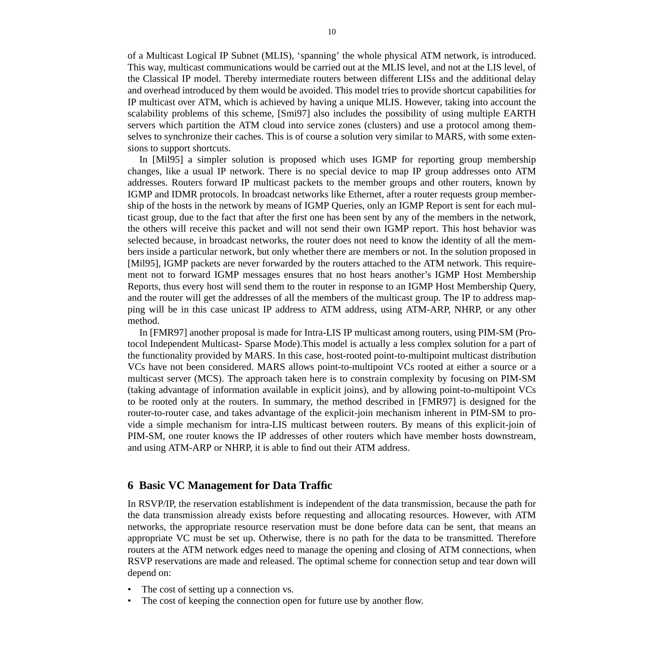of a Multicast Logical IP Subnet (MLIS), 'spanning' the whole physical ATM network, is introduced. This way, multicast communications would be carried out at the MLIS level, and not at the LIS level, of the Classical IP model. Thereby intermediate routers between different LISs and the additional delay and overhead introduced by them would be avoided. This model tries to provide shortcut capabilities for IP multicast over ATM, which is achieved by having a unique MLIS. However, taking into account the scalability problems of this scheme, [Smi97] also includes the possibility of using multiple EARTH servers which partition the ATM cloud into service zones (clusters) and use a protocol among themselves to synchronize their caches. This is of course a solution very similar to MARS, with some extensions to support shortcuts.

In [Mil95] a simpler solution is proposed which uses IGMP for reporting group membership changes, like a usual IP network. There is no special device to map IP group addresses onto ATM addresses. Routers forward IP multicast packets to the member groups and other routers, known by IGMP and IDMR protocols. In broadcast networks like Ethernet, after a router requests group membership of the hosts in the network by means of IGMP Queries, only an IGMP Report is sent for each multicast group, due to the fact that after the first one has been sent by any of the members in the network, the others will receive this packet and will not send their own IGMP report. This host behavior was selected because, in broadcast networks, the router does not need to know the identity of all the members inside a particular network, but only whether there are members or not. In the solution proposed in [Mil95], IGMP packets are never forwarded by the routers attached to the ATM network. This requirement not to forward IGMP messages ensures that no host hears another's IGMP Host Membership Reports, thus every host will send them to the router in response to an IGMP Host Membership Query, and the router will get the addresses of all the members of the multicast group. The IP to address mapping will be in this case unicast IP address to ATM address, using ATM-ARP, NHRP, or any other method.

In [FMR97] another proposal is made for Intra-LIS IP multicast among routers, using PIM-SM (Protocol Independent Multicast- Sparse Mode).This model is actually a less complex solution for a part of the functionality provided by MARS. In this case, host-rooted point-to-multipoint multicast distribution VCs have not been considered. MARS allows point-to-multipoint VCs rooted at either a source or a multicast server (MCS). The approach taken here is to constrain complexity by focusing on PIM-SM (taking advantage of information available in explicit joins), and by allowing point-to-multipoint VCs to be rooted only at the routers. In summary, the method described in [FMR97] is designed for the router-to-router case, and takes advantage of the explicit-join mechanism inherent in PIM-SM to provide a simple mechanism for intra-LIS multicast between routers. By means of this explicit-join of PIM-SM, one router knows the IP addresses of other routers which have member hosts downstream, and using ATM-ARP or NHRP, it is able to find out their ATM address.

### **6 Basic VC Management for Data Traffic**

In RSVP/IP, the reservation establishment is independent of the data transmission, because the path for the data transmission already exists before requesting and allocating resources. However, with ATM networks, the appropriate resource reservation must be done before data can be sent, that means an appropriate VC must be set up. Otherwise, there is no path for the data to be transmitted. Therefore routers at the ATM network edges need to manage the opening and closing of ATM connections, when RSVP reservations are made and released. The optimal scheme for connection setup and tear down will depend on:

- The cost of setting up a connection vs.
- The cost of keeping the connection open for future use by another flow.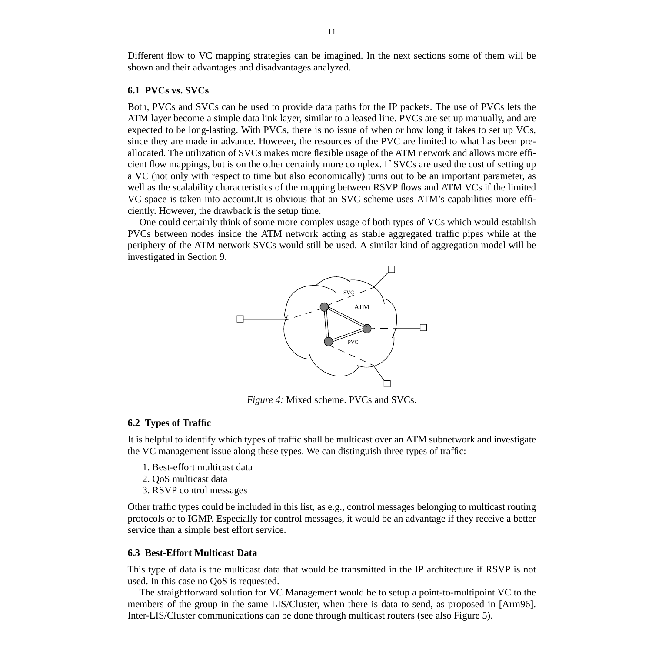Different flow to VC mapping strategies can be imagined. In the next sections some of them will be shown and their advantages and disadvantages analyzed.

#### **6.1 PVCs vs. SVCs**

Both, PVCs and SVCs can be used to provide data paths for the IP packets. The use of PVCs lets the ATM layer become a simple data link layer, similar to a leased line. PVCs are set up manually, and are expected to be long-lasting. With PVCs, there is no issue of when or how long it takes to set up VCs, since they are made in advance. However, the resources of the PVC are limited to what has been preallocated. The utilization of SVCs makes more flexible usage of the ATM network and allows more efficient flow mappings, but is on the other certainly more complex. If SVCs are used the cost of setting up a VC (not only with respect to time but also economically) turns out to be an important parameter, as well as the scalability characteristics of the mapping between RSVP flows and ATM VCs if the limited VC space is taken into account.It is obvious that an SVC scheme uses ATM's capabilities more efficiently. However, the drawback is the setup time.

One could certainly think of some more complex usage of both types of VCs which would establish PVCs between nodes inside the ATM network acting as stable aggregated traffic pipes while at the periphery of the ATM network SVCs would still be used. A similar kind of aggregation model will be investigated in [Section 9.](#page-28-0)



*Figure 4:* Mixed scheme. PVCs and SVCs.

#### **6.2 Types of Traffic**

It is helpful to identify which types of traffic shall be multicast over an ATM subnetwork and investigate the VC management issue along these types. We can distinguish three types of traffic:

- 1. Best-effort multicast data
- 2. QoS multicast data
- 3. RSVP control messages

Other traffic types could be included in this list, as e.g., control messages belonging to multicast routing protocols or to IGMP. Especially for control messages, it would be an advantage if they receive a better service than a simple best effort service.

#### **6.3 Best-Effort Multicast Data**

This type of data is the multicast data that would be transmitted in the IP architecture if RSVP is not used. In this case no QoS is requested.

The straightforward solution for VC Management would be to setup a point-to-multipoint VC to the members of the group in the same LIS/Cluster, when there is data to send, as proposed in [Arm96]. Inter-LIS/Cluster communications can be done through multicast routers (see also Fig[ure 5\).](#page-12-0)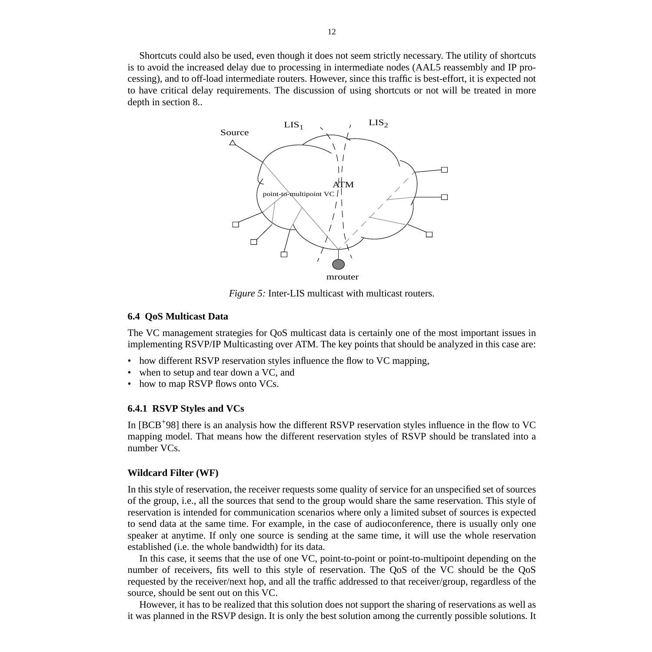<span id="page-12-0"></span>Shortcuts could also be used, even though it does not seem strictly necessary. The utility of shortcuts is to avoid the increased delay due to processing in intermediate nodes (AAL5 reassembly and IP processing), and to off-load intermediate routers. However, since this traffic is best-effort, it is expected not to have critical delay requirements. The discussion of using shortcuts or not will be treated in more depth in [section 8.](#page-19-0).



*Figure 5:* Inter-LIS multicast with multicast routers.

#### **6.4 QoS Multicast Data**

The VC management strategies for QoS multicast data is certainly one of the most important issues in implementing RSVP/IP Multicasting over ATM. The key points that should be analyzed in this case are:

- how different RSVP reservation styles influence the flow to VC mapping,
- when to setup and tear down a VC, and
- how to map RSVP flows onto VCs.

#### **6.4.1 RSVP Styles and VCs**

In [BCB+98] there is an analysis how the different RSVP reservation styles influence in the flow to VC mapping model. That means how the different reservation styles of RSVP should be translated into a number VCs.

#### **Wildcard Filter (WF)**

In this style of reservation, the receiver requests some quality of service for an unspecified set of sources of the group, i.e., all the sources that send to the group would share the same reservation. This style of reservation is intended for communication scenarios where only a limited subset of sources is expected to send data at the same time. For example, in the case of audioconference, there is usually only one speaker at anytime. If only one source is sending at the same time, it will use the whole reservation established (i.e. the whole bandwidth) for its data.

In this case, it seems that the use of one VC, point-to-point or point-to-multipoint depending on the number of receivers, fits well to this style of reservation. The QoS of the VC should be the QoS requested by the receiver/next hop, and all the traffic addressed to that receiver/group, regardless of the source, should be sent out on this VC.

However, it has to be realized that this solution does not support the sharing of reservations as well as it was planned in the RSVP design. It is only the best solution among the currently possible solutions. It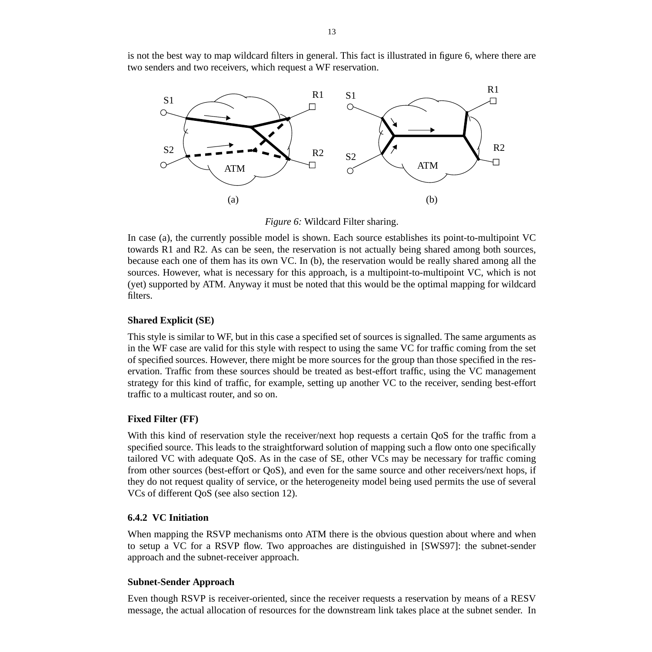is not the best way to map wildcard filters in general. This fact is illustrated in figure 6, where there are two senders and two receivers, which request a WF reservation.



*Figure 6:* Wildcard Filter sharing.

In case (a), the currently possible model is shown. Each source establishes its point-to-multipoint VC towards R1 and R2. As can be seen, the reservation is not actually being shared among both sources, because each one of them has its own VC. In (b), the reservation would be really shared among all the sources. However, what is necessary for this approach, is a multipoint-to-multipoint VC, which is not (yet) supported by ATM. Anyway it must be noted that this would be the optimal mapping for wildcard filters.

### **Shared Explicit (SE)**

This style is similar to WF, but in this case a specified set of sources is signalled. The same arguments as in the WF case are valid for this style with respect to using the same VC for traffic coming from the set of specified sources. However, there might be more sources for the group than those specified in the reservation. Traffic from these sources should be treated as best-effort traffic, using the VC management strategy for this kind of traffic, for example, setting up another VC to the receiver, sending best-effort traffic to a multicast router, and so on.

### **Fixed Filter (FF)**

With this kind of reservation style the receiver/next hop requests a certain QoS for the traffic from a specified source. This leads to the straightforward solution of mapping such a flow onto one specifically tailored VC with adequate QoS. As in the case of SE, other VCs may be necessary for traffic coming from other sources (best-effort or QoS), and even for the same source and other receivers/next hops, if they do not request quality of service, or the heterogeneity model being used permits the use of several VCs of different QoS (see also s[ection 12\).](#page-36-0)

### **6.4.2 VC Initiation**

When mapping the RSVP mechanisms onto ATM there is the obvious question about where and when to setup a VC for a RSVP flow. Two approaches are distinguished in [SWS97]: the subnet-sender approach and the subnet-receiver approach.

### **Subnet-Sender Approach**

Even though RSVP is receiver-oriented, since the receiver requests a reservation by means of a RESV message, the actual allocation of resources for the downstream link takes place at the subnet sender. In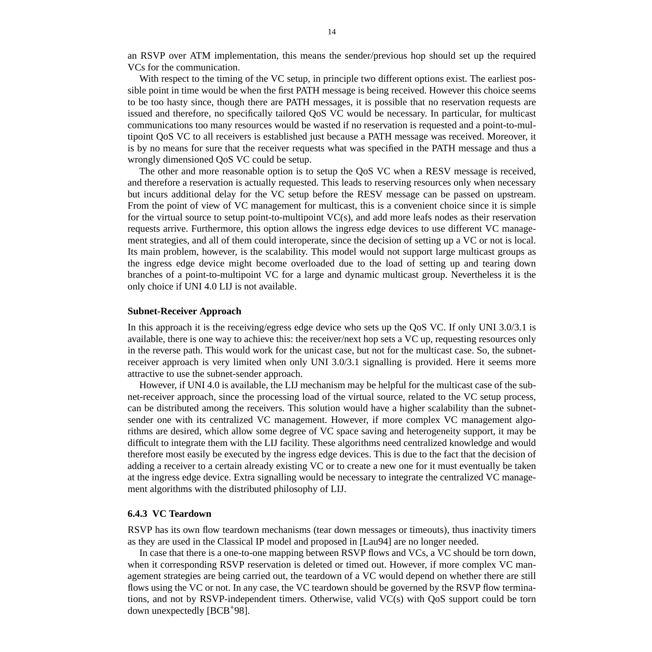an RSVP over ATM implementation, this means the sender/previous hop should set up the required VCs for the communication.

With respect to the timing of the VC setup, in principle two different options exist. The earliest possible point in time would be when the first PATH message is being received. However this choice seems to be too hasty since, though there are PATH messages, it is possible that no reservation requests are issued and therefore, no specifically tailored QoS VC would be necessary. In particular, for multicast communications too many resources would be wasted if no reservation is requested and a point-to-multipoint QoS VC to all receivers is established just because a PATH message was received. Moreover, it is by no means for sure that the receiver requests what was specified in the PATH message and thus a wrongly dimensioned QoS VC could be setup.

The other and more reasonable option is to setup the QoS VC when a RESV message is received, and therefore a reservation is actually requested. This leads to reserving resources only when necessary but incurs additional delay for the VC setup before the RESV message can be passed on upstream. From the point of view of VC management for multicast, this is a convenient choice since it is simple for the virtual source to setup point-to-multipoint VC(s), and add more leafs nodes as their reservation requests arrive. Furthermore, this option allows the ingress edge devices to use different VC management strategies, and all of them could interoperate, since the decision of setting up a VC or not is local. Its main problem, however, is the scalability. This model would not support large multicast groups as the ingress edge device might become overloaded due to the load of setting up and tearing down branches of a point-to-multipoint VC for a large and dynamic multicast group. Nevertheless it is the only choice if UNI 4.0 LIJ is not available.

#### **Subnet-Receiver Approach**

In this approach it is the receiving/egress edge device who sets up the QoS VC. If only UNI 3.0/3.1 is available, there is one way to achieve this: the receiver/next hop sets a VC up, requesting resources only in the reverse path. This would work for the unicast case, but not for the multicast case. So, the subnetreceiver approach is very limited when only UNI 3.0/3.1 signalling is provided. Here it seems more attractive to use the subnet-sender approach.

However, if UNI 4.0 is available, the LIJ mechanism may be helpful for the multicast case of the subnet-receiver approach, since the processing load of the virtual source, related to the VC setup process, can be distributed among the receivers. This solution would have a higher scalability than the subnetsender one with its centralized VC management. However, if more complex VC management algorithms are desired, which allow some degree of VC space saving and heterogeneity support, it may be difficult to integrate them with the LIJ facility. These algorithms need centralized knowledge and would therefore most easily be executed by the ingress edge devices. This is due to the fact that the decision of adding a receiver to a certain already existing VC or to create a new one for it must eventually be taken at the ingress edge device. Extra signalling would be necessary to integrate the centralized VC management algorithms with the distributed philosophy of LIJ.

#### **6.4.3 VC Teardown**

RSVP has its own flow teardown mechanisms (tear down messages or timeouts), thus inactivity timers as they are used in the Classical IP model and proposed in [Lau94] are no longer needed.

In case that there is a one-to-one mapping between RSVP flows and VCs, a VC should be torn down, when it corresponding RSVP reservation is deleted or timed out. However, if more complex VC management strategies are being carried out, the teardown of a VC would depend on whether there are still flows using the VC or not. In any case, the VC teardown should be governed by the RSVP flow terminations, and not by RSVP-independent timers. Otherwise, valid VC(s) with QoS support could be torn down unexpectedly [BCB+98].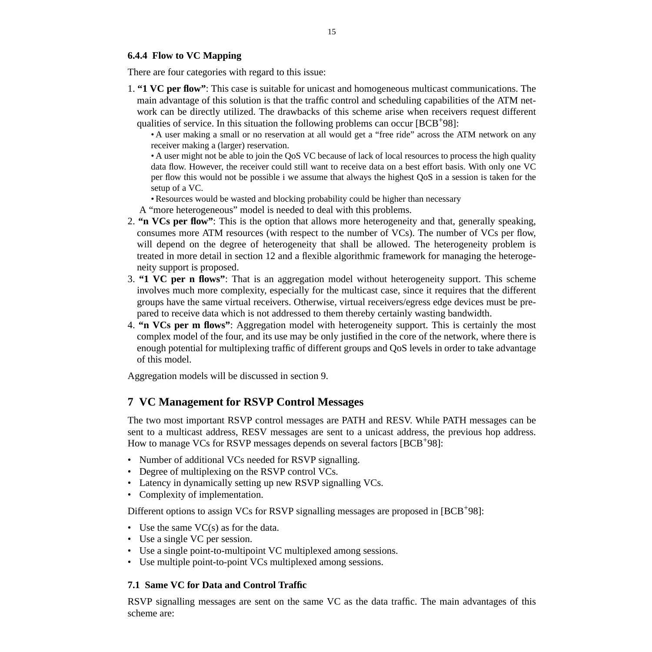### **6.4.4 Flow to VC Mapping**

There are four categories with regard to this issue:

1. **"1 VC per flow"**: This case is suitable for unicast and homogeneous multicast communications. The main advantage of this solution is that the traffic control and scheduling capabilities of the ATM network can be directly utilized. The drawbacks of this scheme arise when receivers request different qualities of service. In this situation the following problems can occur  $[BCB^+98]$ :

• A user making a small or no reservation at all would get a "free ride" across the ATM network on any receiver making a (larger) reservation.

• A user might not be able to join the QoS VC because of lack of local resources to process the high quality data flow. However, the receiver could still want to receive data on a best effort basis. With only one VC per flow this would not be possible i we assume that always the highest QoS in a session is taken for the setup of a VC.

• Resources would be wasted and blocking probability could be higher than necessary

A "more heterogeneous" model is needed to deal with this problems.

- 2. **"n VCs per flow"**: This is the option that allows more heterogeneity and that, generally speaking, consumes more ATM resources (with respect to the number of VCs). The number of VCs per flow, will depend on the degree of heterogeneity that shall be allowed. The heterogeneity problem is treated in more detail in [section 12](#page-36-0) and a flexible algorithmic framework for managing the heterogeneity support is proposed.
- 3. **"1 VC per n flows"**: That is an aggregation model without heterogeneity support. This scheme involves much more complexity, especially for the multicast case, since it requires that the different groups have the same virtual receivers. Otherwise, virtual receivers/egress edge devices must be prepared to receive data which is not addressed to them thereby certainly wasting bandwidth.
- 4. **"n VCs per m flows"**: Aggregation model with heterogeneity support. This is certainly the most complex model of the four, and its use may be only justified in the core of the network, where there is enough potential for multiplexing traffic of different groups and QoS levels in order to take advantage of this model.

Aggregation models will be discussed in s[ection 9.](#page-28-0)

### **7 VC Management for RSVP Control Messages**

The two most important RSVP control messages are PATH and RESV. While PATH messages can be sent to a multicast address, RESV messages are sent to a unicast address, the previous hop address. How to manage VCs for RSVP messages depends on several factors [BCB+98]:

- Number of additional VCs needed for RSVP signalling.
- Degree of multiplexing on the RSVP control VCs.
- Latency in dynamically setting up new RSVP signalling VCs.
- Complexity of implementation.

Different options to assign VCs for RSVP signalling messages are proposed in [BCB<sup>+</sup>98]:

- Use the same VC(s) as for the data.
- Use a single VC per session.
- Use a single point-to-multipoint VC multiplexed among sessions.
- Use multiple point-to-point VCs multiplexed among sessions.

### **7.1 Same VC for Data and Control Traffic**

RSVP signalling messages are sent on the same VC as the data traffic. The main advantages of this scheme are: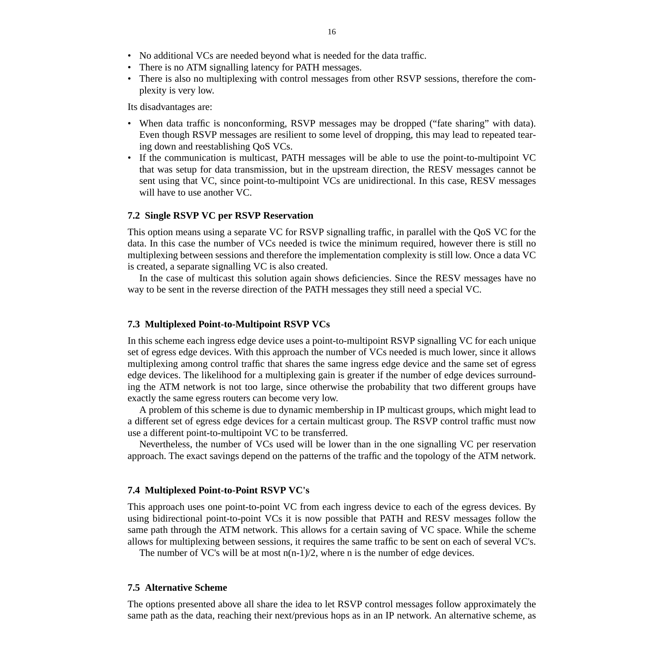- No additional VCs are needed beyond what is needed for the data traffic.
- There is no ATM signalling latency for PATH messages.
- There is also no multiplexing with control messages from other RSVP sessions, therefore the complexity is very low.

Its disadvantages are:

- When data traffic is nonconforming, RSVP messages may be dropped ("fate sharing" with data). Even though RSVP messages are resilient to some level of dropping, this may lead to repeated tearing down and reestablishing QoS VCs.
- If the communication is multicast, PATH messages will be able to use the point-to-multipoint VC that was setup for data transmission, but in the upstream direction, the RESV messages cannot be sent using that VC, since point-to-multipoint VCs are unidirectional. In this case, RESV messages will have to use another VC.

#### **7.2 Single RSVP VC per RSVP Reservation**

This option means using a separate VC for RSVP signalling traffic, in parallel with the QoS VC for the data. In this case the number of VCs needed is twice the minimum required, however there is still no multiplexing between sessions and therefore the implementation complexity is still low. Once a data VC is created, a separate signalling VC is also created.

In the case of multicast this solution again shows deficiencies. Since the RESV messages have no way to be sent in the reverse direction of the PATH messages they still need a special VC.

#### **7.3 Multiplexed Point-to-Multipoint RSVP VCs**

In this scheme each ingress edge device uses a point-to-multipoint RSVP signalling VC for each unique set of egress edge devices. With this approach the number of VCs needed is much lower, since it allows multiplexing among control traffic that shares the same ingress edge device and the same set of egress edge devices. The likelihood for a multiplexing gain is greater if the number of edge devices surrounding the ATM network is not too large, since otherwise the probability that two different groups have exactly the same egress routers can become very low.

A problem of this scheme is due to dynamic membership in IP multicast groups, which might lead to a different set of egress edge devices for a certain multicast group. The RSVP control traffic must now use a different point-to-multipoint VC to be transferred.

Nevertheless, the number of VCs used will be lower than in the one signalling VC per reservation approach. The exact savings depend on the patterns of the traffic and the topology of the ATM network.

#### **7.4 Multiplexed Point-to-Point RSVP VC's**

This approach uses one point-to-point VC from each ingress device to each of the egress devices. By using bidirectional point-to-point VCs it is now possible that PATH and RESV messages follow the same path through the ATM network. This allows for a certain saving of VC space. While the scheme allows for multiplexing between sessions, it requires the same traffic to be sent on each of several VC's.

The number of VC's will be at most  $n(n-1)/2$ , where n is the number of edge devices.

#### **7.5 Alternative Scheme**

The options presented above all share the idea to let RSVP control messages follow approximately the same path as the data, reaching their next/previous hops as in an IP network. An alternative scheme, as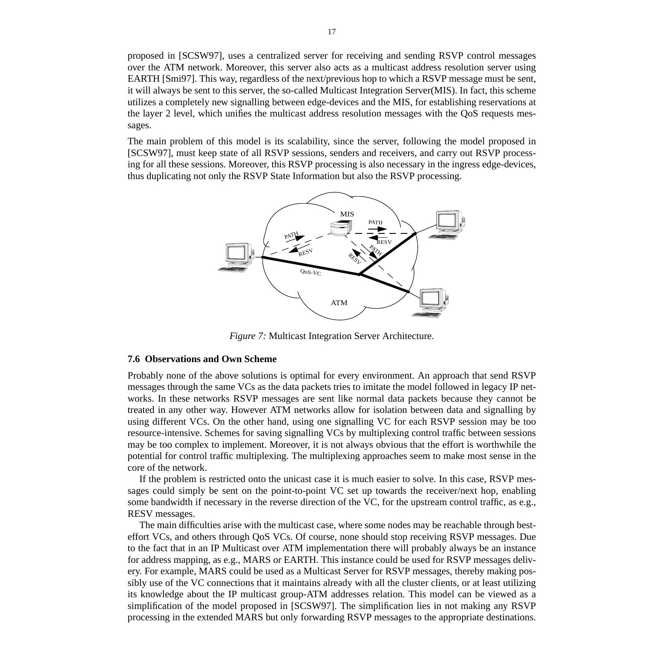proposed in [SCSW97], uses a centralized server for receiving and sending RSVP control messages over the ATM network. Moreover, this server also acts as a multicast address resolution server using EARTH [Smi97]. This way, regardless of the next/previous hop to which a RSVP message must be sent, it will always be sent to this server, the so-called Multicast Integration Server(MIS). In fact, this scheme utilizes a completely new signalling between edge-devices and the MIS, for establishing reservations at the layer 2 level, which unifies the multicast address resolution messages with the QoS requests messages.

The main problem of this model is its scalability, since the server, following the model proposed in [SCSW97], must keep state of all RSVP sessions, senders and receivers, and carry out RSVP processing for all these sessions. Moreover, this RSVP processing is also necessary in the ingress edge-devices, thus duplicating not only the RSVP State Information but also the RSVP processing.



*Figure 7:* Multicast Integration Server Architecture.

#### **7.6 Observations and Own Scheme**

Probably none of the above solutions is optimal for every environment. An approach that send RSVP messages through the same VCs as the data packets tries to imitate the model followed in legacy IP networks. In these networks RSVP messages are sent like normal data packets because they cannot be treated in any other way. However ATM networks allow for isolation between data and signalling by using different VCs. On the other hand, using one signalling VC for each RSVP session may be too resource-intensive. Schemes for saving signalling VCs by multiplexing control traffic between sessions may be too complex to implement. Moreover, it is not always obvious that the effort is worthwhile the potential for control traffic multiplexing. The multiplexing approaches seem to make most sense in the core of the network.

If the problem is restricted onto the unicast case it is much easier to solve. In this case, RSVP messages could simply be sent on the point-to-point VC set up towards the receiver/next hop, enabling some bandwidth if necessary in the reverse direction of the VC, for the upstream control traffic, as e.g., RESV messages.

The main difficulties arise with the multicast case, where some nodes may be reachable through besteffort VCs, and others through QoS VCs. Of course, none should stop receiving RSVP messages. Due to the fact that in an IP Multicast over ATM implementation there will probably always be an instance for address mapping, as e.g., MARS or EARTH. This instance could be used for RSVP messages delivery. For example, MARS could be used as a Multicast Server for RSVP messages, thereby making possibly use of the VC connections that it maintains already with all the cluster clients, or at least utilizing its knowledge about the IP multicast group-ATM addresses relation. This model can be viewed as a simplification of the model proposed in [SCSW97]. The simplification lies in not making any RSVP processing in the extended MARS but only forwarding RSVP messages to the appropriate destinations.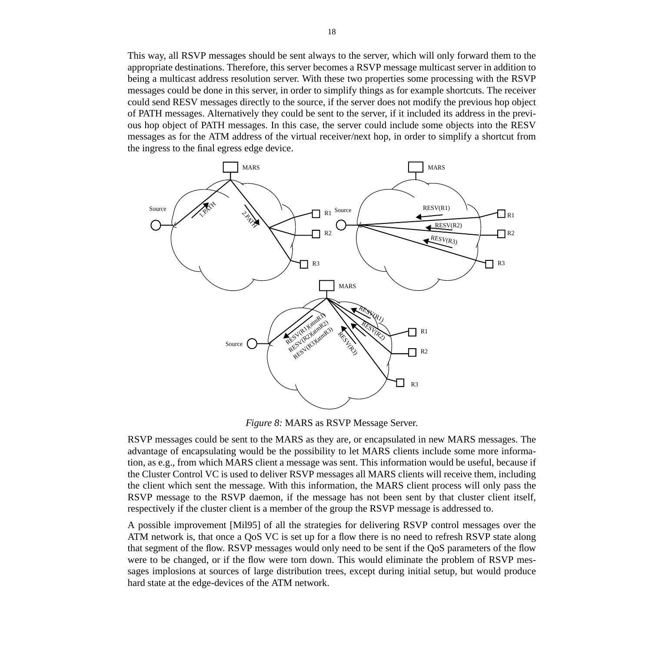This way, all RSVP messages should be sent always to the server, which will only forward them to the appropriate destinations. Therefore, this server becomes a RSVP message multicast server in addition to being a multicast address resolution server. With these two properties some processing with the RSVP messages could be done in this server, in order to simplify things as for example shortcuts. The receiver could send RESV messages directly to the source, if the server does not modify the previous hop object of PATH messages. Alternatively they could be sent to the server, if it included its address in the previous hop object of PATH messages. In this case, the server could include some objects into the RESV messages as for the ATM address of the virtual receiver/next hop, in order to simplify a shortcut from the ingress to the final egress edge device.



*Figure 8:* MARS as RSVP Message Server.

RSVP messages could be sent to the MARS as they are, or encapsulated in new MARS messages. The advantage of encapsulating would be the possibility to let MARS clients include some more information, as e.g., from which MARS client a message was sent. This information would be useful, because if the Cluster Control VC is used to deliver RSVP messages all MARS clients will receive them, including the client which sent the message. With this information, the MARS client process will only pass the RSVP message to the RSVP daemon, if the message has not been sent by that cluster client itself, respectively if the cluster client is a member of the group the RSVP message is addressed to.

A possible improvement [Mil95] of all the strategies for delivering RSVP control messages over the ATM network is, that once a QoS VC is set up for a flow there is no need to refresh RSVP state along that segment of the flow. RSVP messages would only need to be sent if the QoS parameters of the flow were to be changed, or if the flow were torn down. This would eliminate the problem of RSVP messages implosions at sources of large distribution trees, except during initial setup, but would produce hard state at the edge-devices of the ATM network.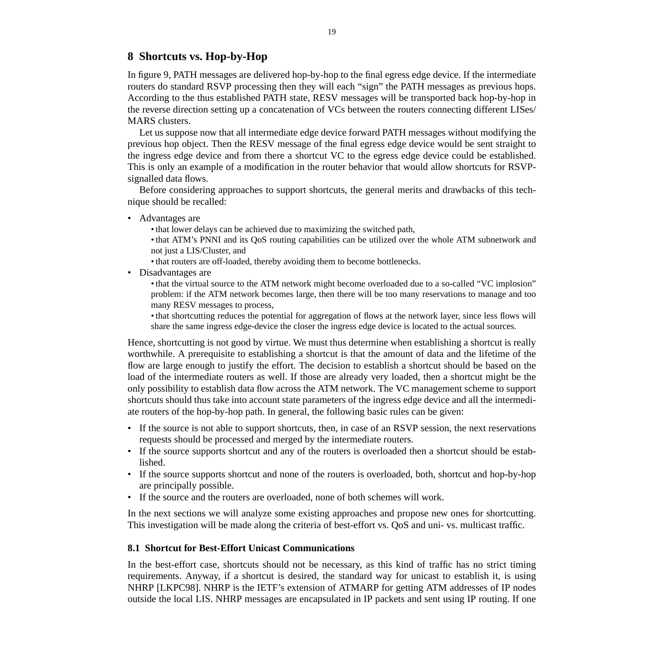# <span id="page-19-0"></span>**8 Shortcuts vs. Hop-by-Hop**

In figure 9, PATH messages are delivered hop-by-hop to the final egress edge device. If the intermediate routers do standard RSVP processing then they will each "sign" the PATH messages as previous hops. According to the thus established PATH state, RESV messages will be transported back hop-by-hop in the reverse direction setting up a concatenation of VCs between the routers connecting different LISes/ MARS clusters.

Let us suppose now that all intermediate edge device forward PATH messages without modifying the previous hop object. Then the RESV message of the final egress edge device would be sent straight to the ingress edge device and from there a shortcut VC to the egress edge device could be established. This is only an example of a modification in the router behavior that would allow shortcuts for RSVPsignalled data flows.

Before considering approaches to support shortcuts, the general merits and drawbacks of this technique should be recalled:

- Advantages are
	- that lower delays can be achieved due to maximizing the switched path,
	- that ATM's PNNI and its QoS routing capabilities can be utilized over the whole ATM subnetwork and not just a LIS/Cluster, and
	- that routers are off-loaded, thereby avoiding them to become bottlenecks.
- Disadvantages are
	- that the virtual source to the ATM network might become overloaded due to a so-called "VC implosion" problem: if the ATM network becomes large, then there will be too many reservations to manage and too many RESV messages to process,

• that shortcutting reduces the potential for aggregation of flows at the network layer, since less flows will share the same ingress edge-device the closer the ingress edge device is located to the actual sources.

Hence, shortcutting is not good by virtue. We must thus determine when establishing a shortcut is really worthwhile. A prerequisite to establishing a shortcut is that the amount of data and the lifetime of the flow are large enough to justify the effort. The decision to establish a shortcut should be based on the load of the intermediate routers as well. If those are already very loaded, then a shortcut might be the only possibility to establish data flow across the ATM network. The VC management scheme to support shortcuts should thus take into account state parameters of the ingress edge device and all the intermediate routers of the hop-by-hop path. In general, the following basic rules can be given:

- If the source is not able to support shortcuts, then, in case of an RSVP session, the next reservations requests should be processed and merged by the intermediate routers.
- If the source supports shortcut and any of the routers is overloaded then a shortcut should be established.
- If the source supports shortcut and none of the routers is overloaded, both, shortcut and hop-by-hop are principally possible.
- If the source and the routers are overloaded, none of both schemes will work.

In the next sections we will analyze some existing approaches and propose new ones for shortcutting. This investigation will be made along the criteria of best-effort vs. QoS and uni- vs. multicast traffic.

### **8.1 Shortcut for Best-Effort Unicast Communications**

In the best-effort case, shortcuts should not be necessary, as this kind of traffic has no strict timing requirements. Anyway, if a shortcut is desired, the standard way for unicast to establish it, is using NHRP [LKPC98]. NHRP is the IETF's extension of ATMARP for getting ATM addresses of IP nodes outside the local LIS. NHRP messages are encapsulated in IP packets and sent using IP routing. If one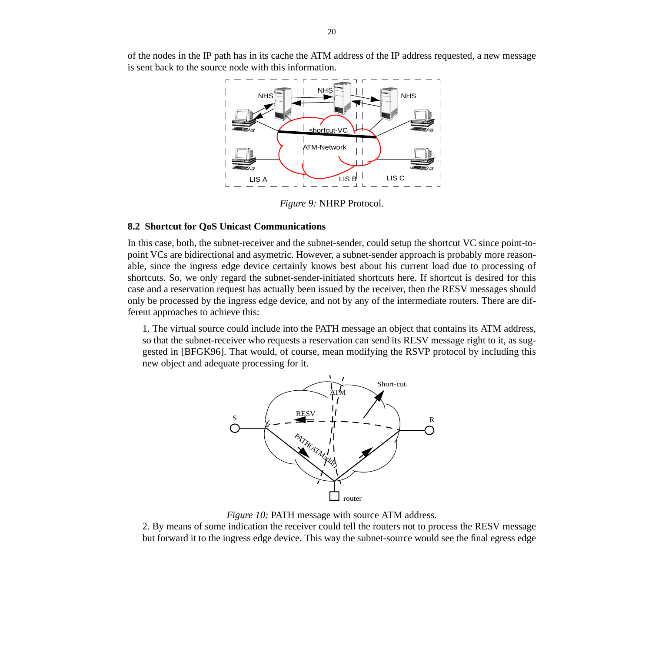of the nodes in the IP path has in its cache the ATM address of the IP address requested, a new message is sent back to the source node with this information.



*Figure 9:* NHRP Protocol.

#### **8.2 Shortcut for QoS Unicast Communications**

In this case, both, the subnet-receiver and the subnet-sender, could setup the shortcut VC since point-topoint VCs are bidirectional and asymetric. However, a subnet-sender approach is probably more reasonable, since the ingress edge device certainly knows best about his current load due to processing of shortcuts. So, we only regard the subnet-sender-initiated shortcuts here. If shortcut is desired for this case and a reservation request has actually been issued by the receiver, then the RESV messages should only be processed by the ingress edge device, and not by any of the intermediate routers. There are different approaches to achieve this:

1. The virtual source could include into the PATH message an object that contains its ATM address, so that the subnet-receiver who requests a reservation can send its RESV message right to it, as suggested in [BFGK96]. That would, of course, mean modifying the RSVP protocol by including this new object and adequate processing for it.



*Figure 10:* PATH message with source ATM address.

2. By means of some indication the receiver could tell the routers not to process the RESV message but forward it to the ingress edge device. This way the subnet-source would see the final egress edge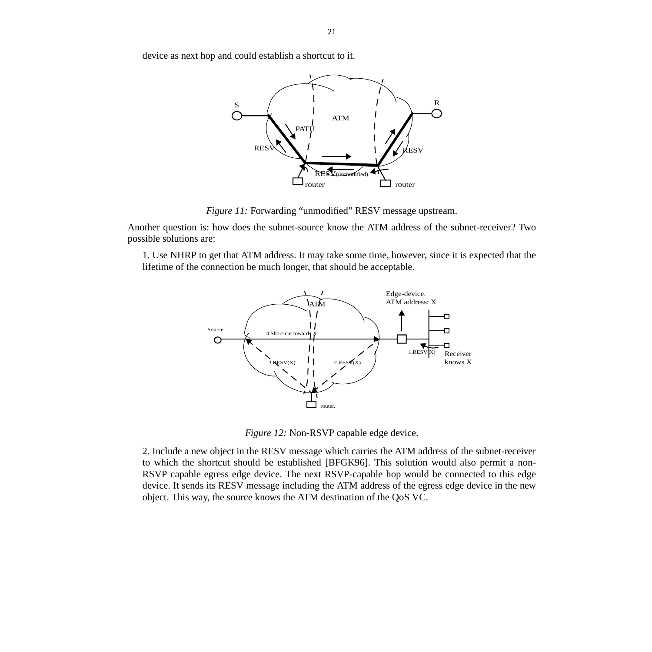device as next hop and could establish a shortcut to it.



*Figure 11:* Forwarding "unmodified" RESV message upstream.

Another question is: how does the subnet-source know the ATM address of the subnet-receiver? Two possible solutions are:

1. Use NHRP to get that ATM address. It may take some time, however, since it is expected that the lifetime of the connection be much longer, that should be acceptable.



*Figure 12:* Non-RSVP capable edge device.

2. Include a new object in the RESV message which carries the ATM address of the subnet-receiver to which the shortcut should be established [BFGK96]. This solution would also permit a non-RSVP capable egress edge device. The next RSVP-capable hop would be connected to this edge device. It sends its RESV message including the ATM address of the egress edge device in the new object. This way, the source knows the ATM destination of the QoS VC.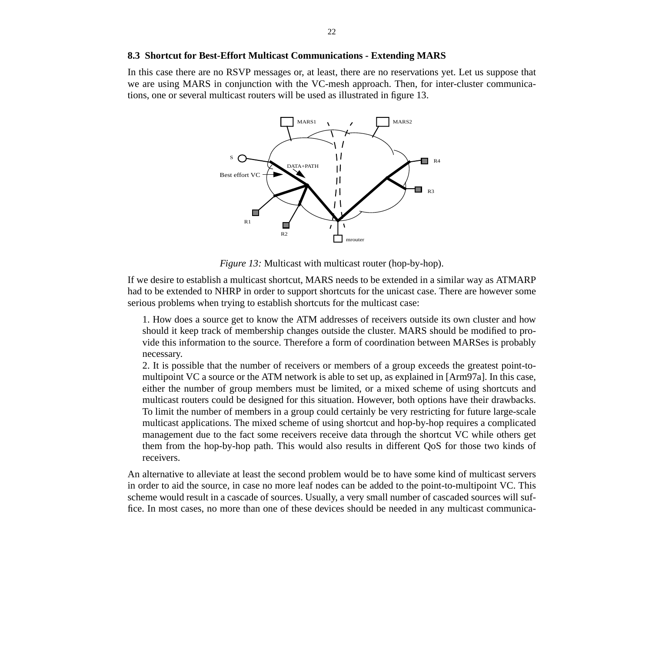#### <span id="page-22-0"></span>**8.3 Shortcut for Best-Effort Multicast Communications - Extending MARS**

In this case there are no RSVP messages or, at least, there are no reservations yet. Let us suppose that we are using MARS in conjunction with the VC-mesh approach. Then, for inter-cluster communications, one or several multicast routers will be used as illustrated in figure 13.



*Figure 13:* Multicast with multicast router (hop-by-hop).

If we desire to establish a multicast shortcut, MARS needs to be extended in a similar way as ATMARP had to be extended to NHRP in order to support shortcuts for the unicast case. There are however some serious problems when trying to establish shortcuts for the multicast case:

1. How does a source get to know the ATM addresses of receivers outside its own cluster and how should it keep track of membership changes outside the cluster. MARS should be modified to provide this information to the source. Therefore a form of coordination between MARSes is probably necessary.

2. It is possible that the number of receivers or members of a group exceeds the greatest point-tomultipoint VC a source or the ATM network is able to set up, as explained in [Arm97a]. In this case, either the number of group members must be limited, or a mixed scheme of using shortcuts and multicast routers could be designed for this situation. However, both options have their drawbacks. To limit the number of members in a group could certainly be very restricting for future large-scale multicast applications. The mixed scheme of using shortcut and hop-by-hop requires a complicated management due to the fact some receivers receive data through the shortcut VC while others get them from the hop-by-hop path. This would also results in different QoS for those two kinds of receivers.

An alternative to alleviate at least the second problem would be to have some kind of multicast servers in order to aid the source, in case no more leaf nodes can be added to the point-to-multipoint VC. This scheme would result in a cascade of sources. Usually, a very small number of cascaded sources will suffice. In most cases, no more than one of these devices should be needed in any multicast communica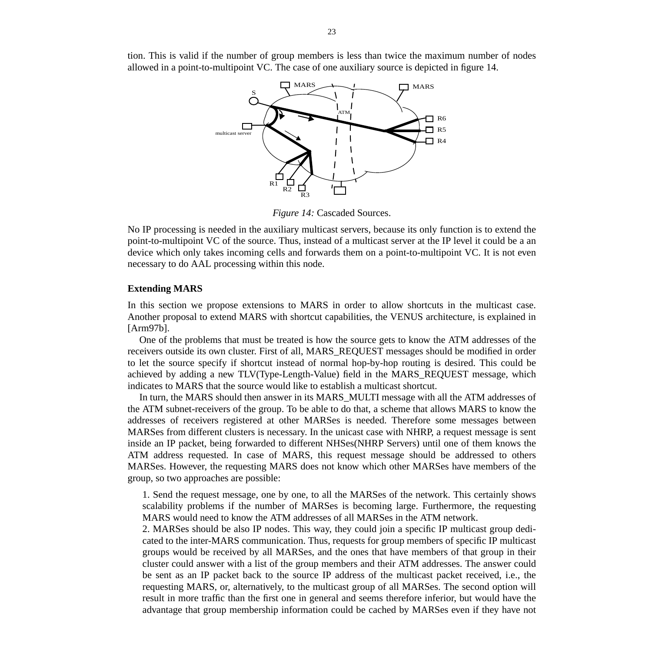tion. This is valid if the number of group members is less than twice the maximum number of nodes allowed in a point-to-multipoint VC. The case of one auxiliary source is depicted in figure 14.



*Figure 14:* Cascaded Sources.

No IP processing is needed in the auxiliary multicast servers, because its only function is to extend the point-to-multipoint VC of the source. Thus, instead of a multicast server at the IP level it could be a an device which only takes incoming cells and forwards them on a point-to-multipoint VC. It is not even necessary to do AAL processing within this node.

#### **Extending MARS**

In this section we propose extensions to MARS in order to allow shortcuts in the multicast case. Another proposal to extend MARS with shortcut capabilities, the VENUS architecture, is explained in [Arm97b].

One of the problems that must be treated is how the source gets to know the ATM addresses of the receivers outside its own cluster. First of all, MARS\_REQUEST messages should be modified in order to let the source specify if shortcut instead of normal hop-by-hop routing is desired. This could be achieved by adding a new TLV(Type-Length-Value) field in the MARS\_REQUEST message, which indicates to MARS that the source would like to establish a multicast shortcut.

In turn, the MARS should then answer in its MARS\_MULTI message with all the ATM addresses of the ATM subnet-receivers of the group. To be able to do that, a scheme that allows MARS to know the addresses of receivers registered at other MARSes is needed. Therefore some messages between MARSes from different clusters is necessary. In the unicast case with NHRP, a request message is sent inside an IP packet, being forwarded to different NHSes(NHRP Servers) until one of them knows the ATM address requested. In case of MARS, this request message should be addressed to others MARSes. However, the requesting MARS does not know which other MARSes have members of the group, so two approaches are possible:

1. Send the request message, one by one, to all the MARSes of the network. This certainly shows scalability problems if the number of MARSes is becoming large. Furthermore, the requesting MARS would need to know the ATM addresses of all MARSes in the ATM network.

2. MARSes should be also IP nodes. This way, they could join a specific IP multicast group dedicated to the inter-MARS communication. Thus, requests for group members of specific IP multicast groups would be received by all MARSes, and the ones that have members of that group in their cluster could answer with a list of the group members and their ATM addresses. The answer could be sent as an IP packet back to the source IP address of the multicast packet received, i.e., the requesting MARS, or, alternatively, to the multicast group of all MARSes. The second option will result in more traffic than the first one in general and seems therefore inferior, but would have the advantage that group membership information could be cached by MARSes even if they have not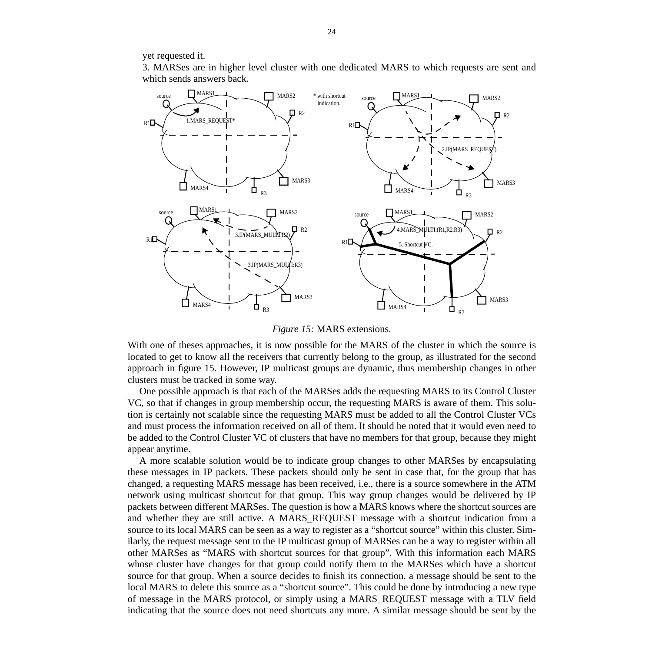yet requested it.

3. MARSes are in higher level cluster with one dedicated MARS to which requests are sent and which sends answers back.



*Figure 15:* MARS extensions.

With one of theses approaches, it is now possible for the MARS of the cluster in which the source is located to get to know all the receivers that currently belong to the group, as illustrated for the second approach in figure 15. However, IP multicast groups are dynamic, thus membership changes in other clusters must be tracked in some way.

One possible approach is that each of the MARSes adds the requesting MARS to its Control Cluster VC, so that if changes in group membership occur, the requesting MARS is aware of them. This solution is certainly not scalable since the requesting MARS must be added to all the Control Cluster VCs and must process the information received on all of them. It should be noted that it would even need to be added to the Control Cluster VC of clusters that have no members for that group, because they might appear anytime.

A more scalable solution would be to indicate group changes to other MARSes by encapsulating these messages in IP packets. These packets should only be sent in case that, for the group that has changed, a requesting MARS message has been received, i.e., there is a source somewhere in the ATM network using multicast shortcut for that group. This way group changes would be delivered by IP packets between different MARSes. The question is how a MARS knows where the shortcut sources are and whether they are still active. A MARS\_REQUEST message with a shortcut indication from a source to its local MARS can be seen as a way to register as a "shortcut source" within this cluster. Similarly, the request message sent to the IP multicast group of MARSes can be a way to register within all other MARSes as "MARS with shortcut sources for that group". With this information each MARS whose cluster have changes for that group could notify them to the MARSes which have a shortcut source for that group. When a source decides to finish its connection, a message should be sent to the local MARS to delete this source as a "shortcut source". This could be done by introducing a new type of message in the MARS protocol, or simply using a MARS\_REQUEST message with a TLV field indicating that the source does not need shortcuts any more. A similar message should be sent by the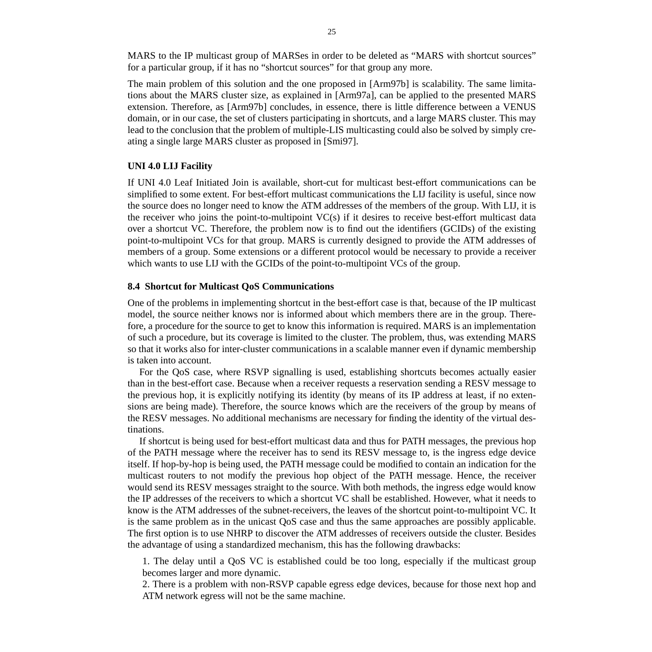MARS to the IP multicast group of MARSes in order to be deleted as "MARS with shortcut sources" for a particular group, if it has no "shortcut sources" for that group any more.

The main problem of this solution and the one proposed in [Arm97b] is scalability. The same limitations about the MARS cluster size, as explained in [Arm97a], can be applied to the presented MARS extension. Therefore, as [Arm97b] concludes, in essence, there is little difference between a VENUS domain, or in our case, the set of clusters participating in shortcuts, and a large MARS cluster. This may lead to the conclusion that the problem of multiple-LIS multicasting could also be solved by simply creating a single large MARS cluster as proposed in [Smi97].

### **UNI 4.0 LIJ Facility**

If UNI 4.0 Leaf Initiated Join is available, short-cut for multicast best-effort communications can be simplified to some extent. For best-effort multicast communications the LIJ facility is useful, since now the source does no longer need to know the ATM addresses of the members of the group. With LIJ, it is the receiver who joins the point-to-multipoint  $VC(s)$  if it desires to receive best-effort multicast data over a shortcut VC. Therefore, the problem now is to find out the identifiers (GCIDs) of the existing point-to-multipoint VCs for that group. MARS is currently designed to provide the ATM addresses of members of a group. Some extensions or a different protocol would be necessary to provide a receiver which wants to use LIJ with the GCIDs of the point-to-multipoint VCs of the group.

#### **8.4 Shortcut for Multicast QoS Communications**

One of the problems in implementing shortcut in the best-effort case is that, because of the IP multicast model, the source neither knows nor is informed about which members there are in the group. Therefore, a procedure for the source to get to know this information is required. MARS is an implementation of such a procedure, but its coverage is limited to the cluster. The problem, thus, was extending MARS so that it works also for inter-cluster communications in a scalable manner even if dynamic membership is taken into account.

For the QoS case, where RSVP signalling is used, establishing shortcuts becomes actually easier than in the best-effort case. Because when a receiver requests a reservation sending a RESV message to the previous hop, it is explicitly notifying its identity (by means of its IP address at least, if no extensions are being made). Therefore, the source knows which are the receivers of the group by means of the RESV messages. No additional mechanisms are necessary for finding the identity of the virtual destinations.

If shortcut is being used for best-effort multicast data and thus for PATH messages, the previous hop of the PATH message where the receiver has to send its RESV message to, is the ingress edge device itself. If hop-by-hop is being used, the PATH message could be modified to contain an indication for the multicast routers to not modify the previous hop object of the PATH message. Hence, the receiver would send its RESV messages straight to the source. With both methods, the ingress edge would know the IP addresses of the receivers to which a shortcut VC shall be established. However, what it needs to know is the ATM addresses of the subnet-receivers, the leaves of the shortcut point-to-multipoint VC. It is the same problem as in the unicast QoS case and thus the same approaches are possibly applicable. The first option is to use NHRP to discover the ATM addresses of receivers outside the cluster. Besides the advantage of using a standardized mechanism, this has the following drawbacks:

1. The delay until a QoS VC is established could be too long, especially if the multicast group becomes larger and more dynamic.

2. There is a problem with non-RSVP capable egress edge devices, because for those next hop and ATM network egress will not be the same machine.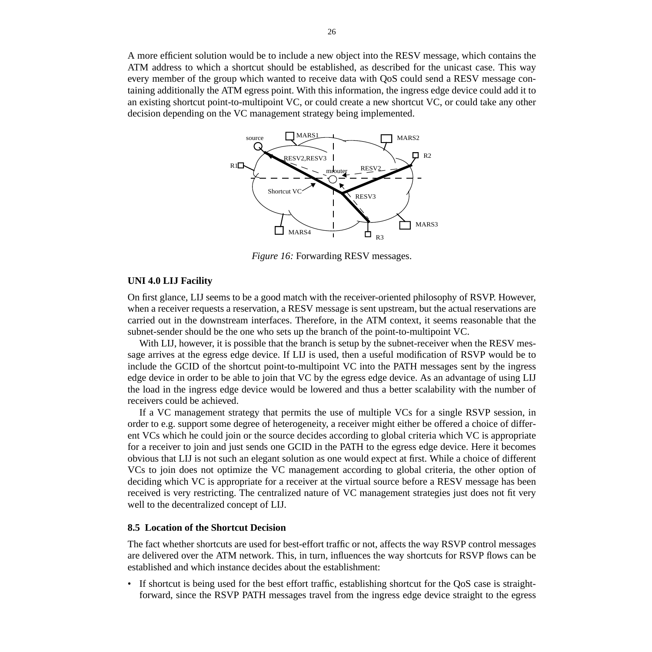A more efficient solution would be to include a new object into the RESV message, which contains the ATM address to which a shortcut should be established, as described for the unicast case. This way every member of the group which wanted to receive data with QoS could send a RESV message containing additionally the ATM egress point. With this information, the ingress edge device could add it to an existing shortcut point-to-multipoint VC, or could create a new shortcut VC, or could take any other decision depending on the VC management strategy being implemented.



*Figure 16:* Forwarding RESV messages.

#### **UNI 4.0 LIJ Facility**

On first glance, LIJ seems to be a good match with the receiver-oriented philosophy of RSVP. However, when a receiver requests a reservation, a RESV message is sent upstream, but the actual reservations are carried out in the downstream interfaces. Therefore, in the ATM context, it seems reasonable that the subnet-sender should be the one who sets up the branch of the point-to-multipoint VC.

With LIJ, however, it is possible that the branch is setup by the subnet-receiver when the RESV message arrives at the egress edge device. If LIJ is used, then a useful modification of RSVP would be to include the GCID of the shortcut point-to-multipoint VC into the PATH messages sent by the ingress edge device in order to be able to join that VC by the egress edge device. As an advantage of using LIJ the load in the ingress edge device would be lowered and thus a better scalability with the number of receivers could be achieved.

If a VC management strategy that permits the use of multiple VCs for a single RSVP session, in order to e.g. support some degree of heterogeneity, a receiver might either be offered a choice of different VCs which he could join or the source decides according to global criteria which VC is appropriate for a receiver to join and just sends one GCID in the PATH to the egress edge device. Here it becomes obvious that LIJ is not such an elegant solution as one would expect at first. While a choice of different VCs to join does not optimize the VC management according to global criteria, the other option of deciding which VC is appropriate for a receiver at the virtual source before a RESV message has been received is very restricting. The centralized nature of VC management strategies just does not fit very well to the decentralized concept of LIJ.

#### **8.5 Location of the Shortcut Decision**

The fact whether shortcuts are used for best-effort traffic or not, affects the way RSVP control messages are delivered over the ATM network. This, in turn, influences the way shortcuts for RSVP flows can be established and which instance decides about the establishment:

• If shortcut is being used for the best effort traffic, establishing shortcut for the QoS case is straightforward, since the RSVP PATH messages travel from the ingress edge device straight to the egress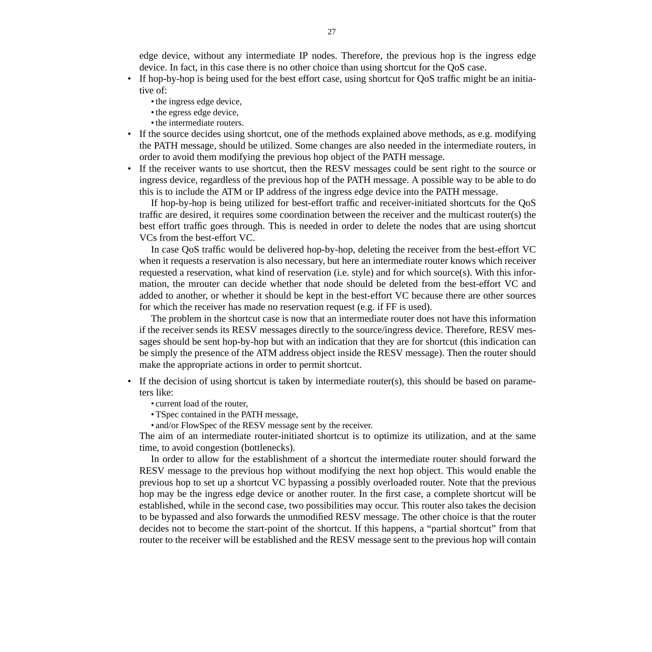edge device, without any intermediate IP nodes. Therefore, the previous hop is the ingress edge device. In fact, in this case there is no other choice than using shortcut for the QoS case.

- If hop-by-hop is being used for the best effort case, using shortcut for QoS traffic might be an initiative of:
	- the ingress edge device,
	- the egress edge device,
	- the intermediate routers.
- If the source decides using shortcut, one of the methods explained above methods, as e.g. modifying the PATH message, should be utilized. Some changes are also needed in the intermediate routers, in order to avoid them modifying the previous hop object of the PATH message.
- If the receiver wants to use shortcut, then the RESV messages could be sent right to the source or ingress device, regardless of the previous hop of the PATH message. A possible way to be able to do this is to include the ATM or IP address of the ingress edge device into the PATH message.

If hop-by-hop is being utilized for best-effort traffic and receiver-initiated shortcuts for the QoS traffic are desired, it requires some coordination between the receiver and the multicast router(s) the best effort traffic goes through. This is needed in order to delete the nodes that are using shortcut VCs from the best-effort VC.

In case QoS traffic would be delivered hop-by-hop, deleting the receiver from the best-effort VC when it requests a reservation is also necessary, but here an intermediate router knows which receiver requested a reservation, what kind of reservation (i.e. style) and for which source(s). With this information, the mrouter can decide whether that node should be deleted from the best-effort VC and added to another, or whether it should be kept in the best-effort VC because there are other sources for which the receiver has made no reservation request (e.g. if FF is used).

The problem in the shortcut case is now that an intermediate router does not have this information if the receiver sends its RESV messages directly to the source/ingress device. Therefore, RESV messages should be sent hop-by-hop but with an indication that they are for shortcut (this indication can be simply the presence of the ATM address object inside the RESV message). Then the router should make the appropriate actions in order to permit shortcut.

- If the decision of using shortcut is taken by intermediate router(s), this should be based on parameters like:
	- current load of the router,
	- TSpec contained in the PATH message,

• and/or FlowSpec of the RESV message sent by the receiver.

The aim of an intermediate router-initiated shortcut is to optimize its utilization, and at the same time, to avoid congestion (bottlenecks).

In order to allow for the establishment of a shortcut the intermediate router should forward the RESV message to the previous hop without modifying the next hop object. This would enable the previous hop to set up a shortcut VC bypassing a possibly overloaded router. Note that the previous hop may be the ingress edge device or another router. In the first case, a complete shortcut will be established, while in the second case, two possibilities may occur. This router also takes the decision to be bypassed and also forwards the unmodified RESV message. The other choice is that the router decides not to become the start-point of the shortcut. If this happens, a "partial shortcut" from that router to the receiver will be established and the RESV message sent to the previous hop will contain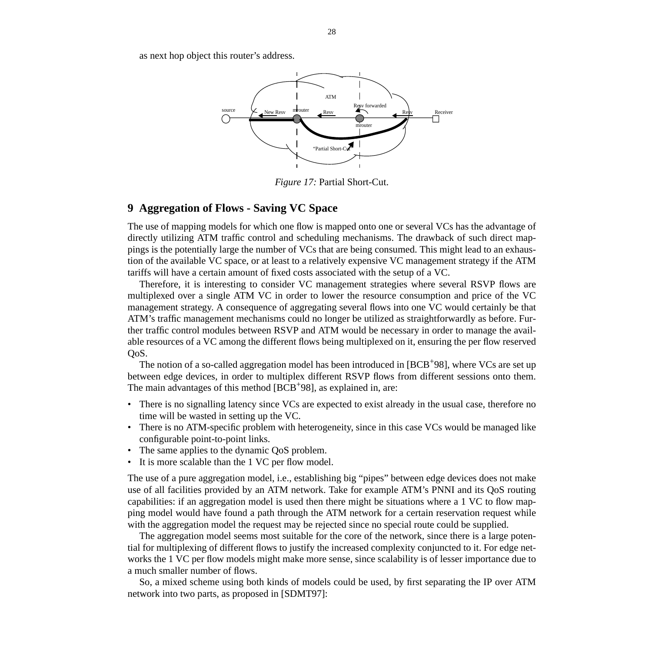<span id="page-28-0"></span>as next hop object this router's address.



*Figure 17:* Partial Short-Cut.

### **9 Aggregation of Flows - Saving VC Space**

The use of mapping models for which one flow is mapped onto one or several VCs has the advantage of directly utilizing ATM traffic control and scheduling mechanisms. The drawback of such direct mappings is the potentially large the number of VCs that are being consumed. This might lead to an exhaustion of the available VC space, or at least to a relatively expensive VC management strategy if the ATM tariffs will have a certain amount of fixed costs associated with the setup of a VC.

Therefore, it is interesting to consider VC management strategies where several RSVP flows are multiplexed over a single ATM VC in order to lower the resource consumption and price of the VC management strategy. A consequence of aggregating several flows into one VC would certainly be that ATM's traffic management mechanisms could no longer be utilized as straightforwardly as before. Further traffic control modules between RSVP and ATM would be necessary in order to manage the available resources of a VC among the different flows being multiplexed on it, ensuring the per flow reserved OoS.

The notion of a so-called aggregation model has been introduced in  $[BCB<sup>+</sup>98]$ , where VCs are set up between edge devices, in order to multiplex different RSVP flows from different sessions onto them. The main advantages of this method [BCB<sup>+</sup>98], as explained in, are:

- There is no signalling latency since VCs are expected to exist already in the usual case, therefore no time will be wasted in setting up the VC.
- There is no ATM-specific problem with heterogeneity, since in this case VCs would be managed like configurable point-to-point links.
- The same applies to the dynamic QoS problem.
- It is more scalable than the 1 VC per flow model.

The use of a pure aggregation model, i.e., establishing big "pipes" between edge devices does not make use of all facilities provided by an ATM network. Take for example ATM's PNNI and its QoS routing capabilities: if an aggregation model is used then there might be situations where a 1 VC to flow mapping model would have found a path through the ATM network for a certain reservation request while with the aggregation model the request may be rejected since no special route could be supplied.

The aggregation model seems most suitable for the core of the network, since there is a large potential for multiplexing of different flows to justify the increased complexity conjuncted to it. For edge networks the 1 VC per flow models might make more sense, since scalability is of lesser importance due to a much smaller number of flows.

So, a mixed scheme using both kinds of models could be used, by first separating the IP over ATM network into two parts, as proposed in [SDMT97]: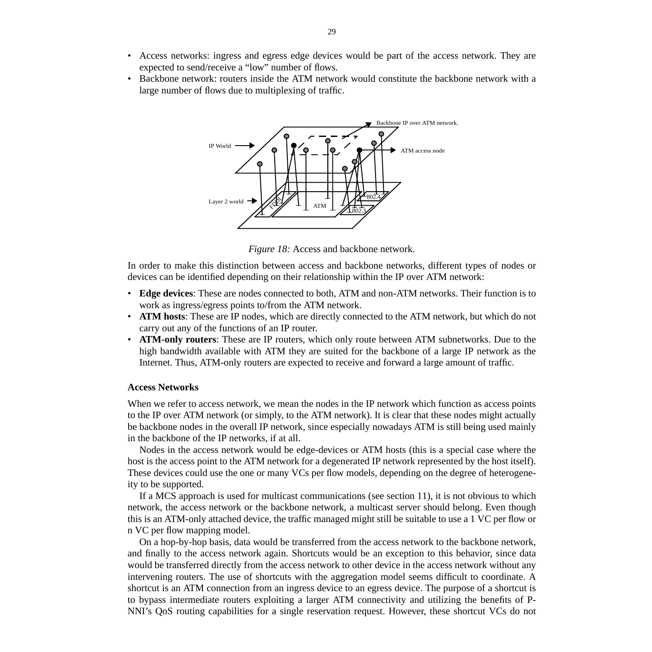- Access networks: ingress and egress edge devices would be part of the access network. They are expected to send/receive a "low" number of flows.
- Backbone network: routers inside the ATM network would constitute the backbone network with a large number of flows due to multiplexing of traffic.



*Figure 18:* Access and backbone network.

In order to make this distinction between access and backbone networks, different types of nodes or devices can be identified depending on their relationship within the IP over ATM network:

- **Edge devices**: These are nodes connected to both, ATM and non-ATM networks. Their function is to work as ingress/egress points to/from the ATM network.
- **ATM hosts**: These are IP nodes, which are directly connected to the ATM network, but which do not carry out any of the functions of an IP router.
- **ATM-only routers**: These are IP routers, which only route between ATM subnetworks. Due to the high bandwidth available with ATM they are suited for the backbone of a large IP network as the Internet. Thus, ATM-only routers are expected to receive and forward a large amount of traffic.

#### **Access Networks**

When we refer to access network, we mean the nodes in the IP network which function as access points to the IP over ATM network (or simply, to the ATM network). It is clear that these nodes might actually be backbone nodes in the overall IP network, since especially nowadays ATM is still being used mainly in the backbone of the IP networks, if at all.

Nodes in the access network would be edge-devices or ATM hosts (this is a special case where the host is the access point to the ATM network for a degenerated IP network represented by the host itself). These devices could use the one or many VCs per flow models, depending on the degree of heterogeneity to be supported.

If a MCS approach is used for multicast communications (see [section 11\)](#page-31-0), it is not obvious to which network, the access network or the backbone network, a multicast server should belong. Even though this is an ATM-only attached device, the traffic managed might still be suitable to use a 1 VC per flow or n VC per flow mapping model.

On a hop-by-hop basis, data would be transferred from the access network to the backbone network, and finally to the access network again. Shortcuts would be an exception to this behavior, since data would be transferred directly from the access network to other device in the access network without any intervening routers. The use of shortcuts with the aggregation model seems difficult to coordinate. A shortcut is an ATM connection from an ingress device to an egress device. The purpose of a shortcut is to bypass intermediate routers exploiting a larger ATM connectivity and utilizing the benefits of P-NNI's QoS routing capabilities for a single reservation request. However, these shortcut VCs do not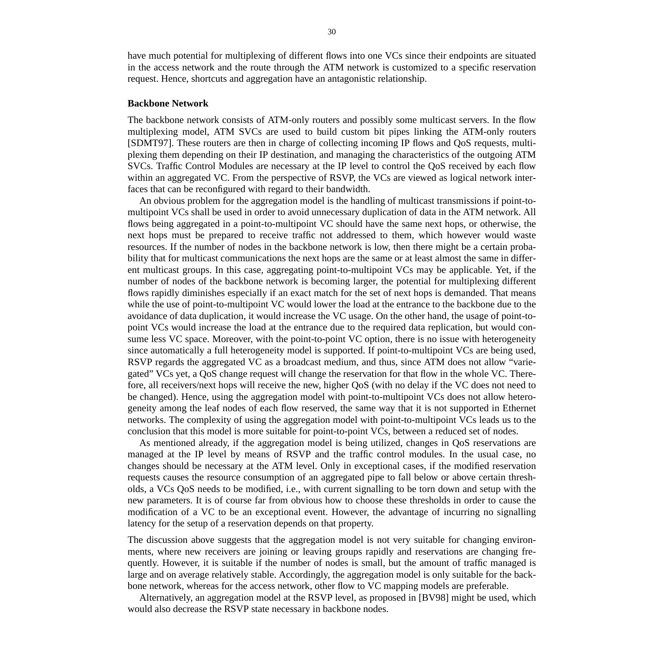have much potential for multiplexing of different flows into one VCs since their endpoints are situated in the access network and the route through the ATM network is customized to a specific reservation request. Hence, shortcuts and aggregation have an antagonistic relationship.

#### **Backbone Network**

The backbone network consists of ATM-only routers and possibly some multicast servers. In the flow multiplexing model, ATM SVCs are used to build custom bit pipes linking the ATM-only routers [SDMT97]. These routers are then in charge of collecting incoming IP flows and QoS requests, multiplexing them depending on their IP destination, and managing the characteristics of the outgoing ATM SVCs. Traffic Control Modules are necessary at the IP level to control the QoS received by each flow within an aggregated VC. From the perspective of RSVP, the VCs are viewed as logical network interfaces that can be reconfigured with regard to their bandwidth.

An obvious problem for the aggregation model is the handling of multicast transmissions if point-tomultipoint VCs shall be used in order to avoid unnecessary duplication of data in the ATM network. All flows being aggregated in a point-to-multipoint VC should have the same next hops, or otherwise, the next hops must be prepared to receive traffic not addressed to them, which however would waste resources. If the number of nodes in the backbone network is low, then there might be a certain probability that for multicast communications the next hops are the same or at least almost the same in different multicast groups. In this case, aggregating point-to-multipoint VCs may be applicable. Yet, if the number of nodes of the backbone network is becoming larger, the potential for multiplexing different flows rapidly diminishes especially if an exact match for the set of next hops is demanded. That means while the use of point-to-multipoint VC would lower the load at the entrance to the backbone due to the avoidance of data duplication, it would increase the VC usage. On the other hand, the usage of point-topoint VCs would increase the load at the entrance due to the required data replication, but would consume less VC space. Moreover, with the point-to-point VC option, there is no issue with heterogeneity since automatically a full heterogeneity model is supported. If point-to-multipoint VCs are being used, RSVP regards the aggregated VC as a broadcast medium, and thus, since ATM does not allow "variegated" VCs yet, a QoS change request will change the reservation for that flow in the whole VC. Therefore, all receivers/next hops will receive the new, higher QoS (with no delay if the VC does not need to be changed). Hence, using the aggregation model with point-to-multipoint VCs does not allow heterogeneity among the leaf nodes of each flow reserved, the same way that it is not supported in Ethernet networks. The complexity of using the aggregation model with point-to-multipoint VCs leads us to the conclusion that this model is more suitable for point-to-point VCs, between a reduced set of nodes.

As mentioned already, if the aggregation model is being utilized, changes in QoS reservations are managed at the IP level by means of RSVP and the traffic control modules. In the usual case, no changes should be necessary at the ATM level. Only in exceptional cases, if the modified reservation requests causes the resource consumption of an aggregated pipe to fall below or above certain thresholds, a VCs QoS needs to be modified, i.e., with current signalling to be torn down and setup with the new parameters. It is of course far from obvious how to choose these thresholds in order to cause the modification of a VC to be an exceptional event. However, the advantage of incurring no signalling latency for the setup of a reservation depends on that property.

The discussion above suggests that the aggregation model is not very suitable for changing environments, where new receivers are joining or leaving groups rapidly and reservations are changing frequently. However, it is suitable if the number of nodes is small, but the amount of traffic managed is large and on average relatively stable. Accordingly, the aggregation model is only suitable for the backbone network, whereas for the access network, other flow to VC mapping models are preferable.

Alternatively, an aggregation model at the RSVP level, as proposed in [BV98] might be used, which would also decrease the RSVP state necessary in backbone nodes.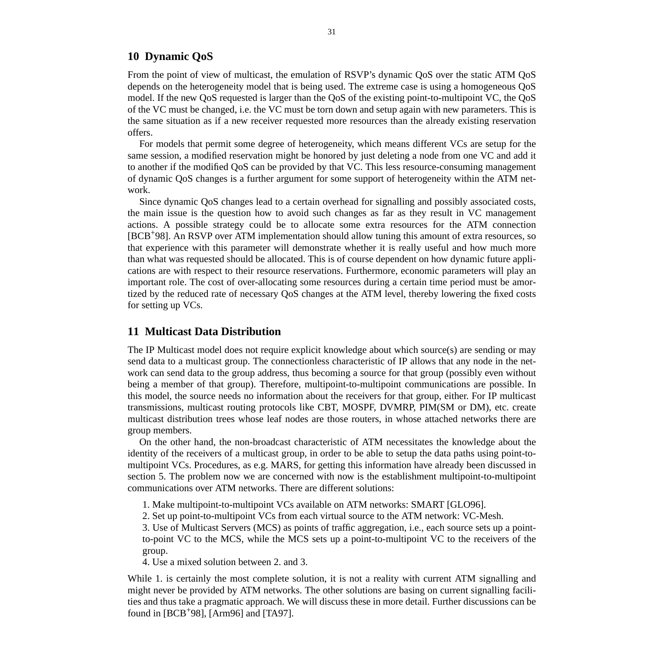### <span id="page-31-0"></span>**10 Dynamic QoS**

From the point of view of multicast, the emulation of RSVP's dynamic QoS over the static ATM QoS depends on the heterogeneity model that is being used. The extreme case is using a homogeneous QoS model. If the new QoS requested is larger than the QoS of the existing point-to-multipoint VC, the QoS of the VC must be changed, i.e. the VC must be torn down and setup again with new parameters. This is the same situation as if a new receiver requested more resources than the already existing reservation offers.

For models that permit some degree of heterogeneity, which means different VCs are setup for the same session, a modified reservation might be honored by just deleting a node from one VC and add it to another if the modified QoS can be provided by that VC. This less resource-consuming management of dynamic QoS changes is a further argument for some support of heterogeneity within the ATM network.

Since dynamic QoS changes lead to a certain overhead for signalling and possibly associated costs, the main issue is the question how to avoid such changes as far as they result in VC management actions. A possible strategy could be to allocate some extra resources for the ATM connection [BCB+98]. An RSVP over ATM implementation should allow tuning this amount of extra resources, so that experience with this parameter will demonstrate whether it is really useful and how much more than what was requested should be allocated. This is of course dependent on how dynamic future applications are with respect to their resource reservations. Furthermore, economic parameters will play an important role. The cost of over-allocating some resources during a certain time period must be amortized by the reduced rate of necessary QoS changes at the ATM level, thereby lowering the fixed costs for setting up VCs.

### **11 Multicast Data Distribution**

The IP Multicast model does not require explicit knowledge about which source(s) are sending or may send data to a multicast group. The connectionless characteristic of IP allows that any node in the network can send data to the group address, thus becoming a source for that group (possibly even without being a member of that group). Therefore, multipoint-to-multipoint communications are possible. In this model, the source needs no information about the receivers for that group, either. For IP multicast transmissions, multicast routing protocols like CBT, MOSPF, DVMRP, PIM(SM or DM), etc. create multicast distribution trees whose leaf nodes are those routers, in whose attached networks there are group members.

On the other hand, the non-broadcast characteristic of ATM necessitates the knowledge about the identity of the receivers of a multicast group, in order to be able to setup the data paths using point-tomultipoint VCs. Procedures, as e.g. MARS, for getting this information have already been discussed in [section 5.](#page-7-0) The problem now we are concerned with now is the establishment multipoint-to-multipoint communications over ATM networks. There are different solutions:

1. Make multipoint-to-multipoint VCs available on ATM networks: SMART [GLO96].

2. Set up point-to-multipoint VCs from each virtual source to the ATM network: VC-Mesh.

3. Use of Multicast Servers (MCS) as points of traffic aggregation, i.e., each source sets up a pointto-point VC to the MCS, while the MCS sets up a point-to-multipoint VC to the receivers of the group.

4. Use a mixed solution between 2. and 3.

While 1. is certainly the most complete solution, it is not a reality with current ATM signalling and might never be provided by ATM networks. The other solutions are basing on current signalling facilities and thus take a pragmatic approach. We will discuss these in more detail. Further discussions can be found in  $[BCB<sup>+</sup>98]$ ,  $[Arm96]$  and  $[TA97]$ .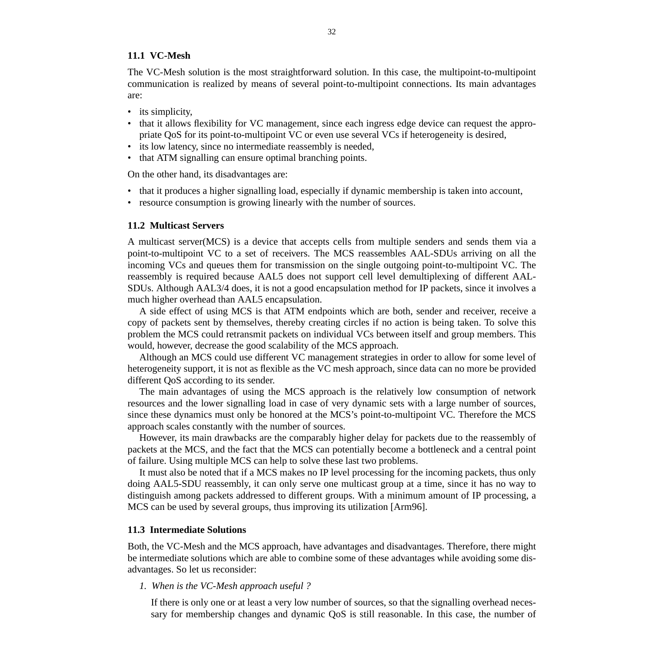### **11.1 VC-Mesh**

The VC-Mesh solution is the most straightforward solution. In this case, the multipoint-to-multipoint communication is realized by means of several point-to-multipoint connections. Its main advantages are:

- its simplicity,
- that it allows flexibility for VC management, since each ingress edge device can request the appropriate QoS for its point-to-multipoint VC or even use several VCs if heterogeneity is desired,
- its low latency, since no intermediate reassembly is needed,
- that ATM signalling can ensure optimal branching points.

On the other hand, its disadvantages are:

- that it produces a higher signalling load, especially if dynamic membership is taken into account,
- resource consumption is growing linearly with the number of sources.

#### **11.2 Multicast Servers**

A multicast server(MCS) is a device that accepts cells from multiple senders and sends them via a point-to-multipoint VC to a set of receivers. The MCS reassembles AAL-SDUs arriving on all the incoming VCs and queues them for transmission on the single outgoing point-to-multipoint VC. The reassembly is required because AAL5 does not support cell level demultiplexing of different AAL-SDUs. Although AAL3/4 does, it is not a good encapsulation method for IP packets, since it involves a much higher overhead than AAL5 encapsulation.

A side effect of using MCS is that ATM endpoints which are both, sender and receiver, receive a copy of packets sent by themselves, thereby creating circles if no action is being taken. To solve this problem the MCS could retransmit packets on individual VCs between itself and group members. This would, however, decrease the good scalability of the MCS approach.

Although an MCS could use different VC management strategies in order to allow for some level of heterogeneity support, it is not as flexible as the VC mesh approach, since data can no more be provided different QoS according to its sender.

The main advantages of using the MCS approach is the relatively low consumption of network resources and the lower signalling load in case of very dynamic sets with a large number of sources, since these dynamics must only be honored at the MCS's point-to-multipoint VC. Therefore the MCS approach scales constantly with the number of sources.

However, its main drawbacks are the comparably higher delay for packets due to the reassembly of packets at the MCS, and the fact that the MCS can potentially become a bottleneck and a central point of failure. Using multiple MCS can help to solve these last two problems.

It must also be noted that if a MCS makes no IP level processing for the incoming packets, thus only doing AAL5-SDU reassembly, it can only serve one multicast group at a time, since it has no way to distinguish among packets addressed to different groups. With a minimum amount of IP processing, a MCS can be used by several groups, thus improving its utilization [Arm96].

### **11.3 Intermediate Solutions**

Both, the VC-Mesh and the MCS approach, have advantages and disadvantages. Therefore, there might be intermediate solutions which are able to combine some of these advantages while avoiding some disadvantages. So let us reconsider:

*1. When is the VC-Mesh approach useful ?*

If there is only one or at least a very low number of sources, so that the signalling overhead necessary for membership changes and dynamic QoS is still reasonable. In this case, the number of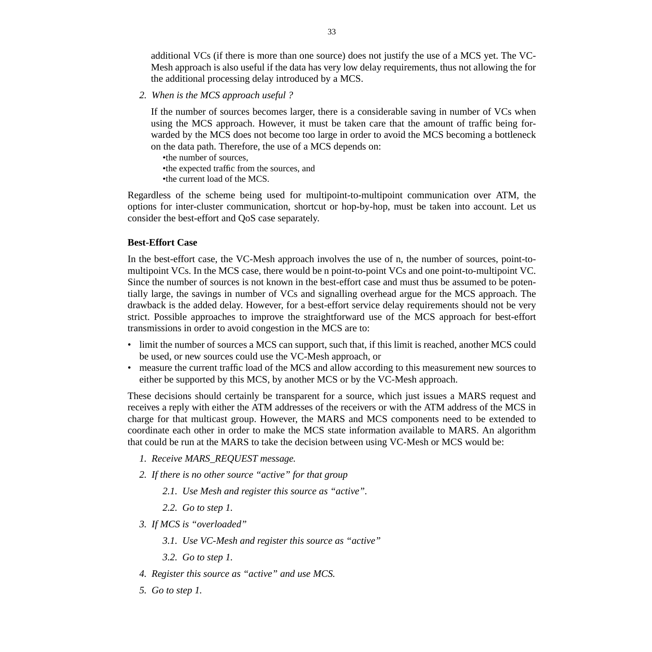additional VCs (if there is more than one source) does not justify the use of a MCS yet. The VC-Mesh approach is also useful if the data has very low delay requirements, thus not allowing the for the additional processing delay introduced by a MCS.

*2. When is the MCS approach useful ?*

If the number of sources becomes larger, there is a considerable saving in number of VCs when using the MCS approach. However, it must be taken care that the amount of traffic being forwarded by the MCS does not become too large in order to avoid the MCS becoming a bottleneck on the data path. Therefore, the use of a MCS depends on:

•the number of sources, •the expected traffic from the sources, and •the current load of the MCS.

Regardless of the scheme being used for multipoint-to-multipoint communication over ATM, the options for inter-cluster communication, shortcut or hop-by-hop, must be taken into account. Let us consider the best-effort and QoS case separately.

### **Best-Effort Case**

In the best-effort case, the VC-Mesh approach involves the use of n, the number of sources, point-tomultipoint VCs. In the MCS case, there would be n point-to-point VCs and one point-to-multipoint VC. Since the number of sources is not known in the best-effort case and must thus be assumed to be potentially large, the savings in number of VCs and signalling overhead argue for the MCS approach. The drawback is the added delay. However, for a best-effort service delay requirements should not be very strict. Possible approaches to improve the straightforward use of the MCS approach for best-effort transmissions in order to avoid congestion in the MCS are to:

- limit the number of sources a MCS can support, such that, if this limit is reached, another MCS could be used, or new sources could use the VC-Mesh approach, or
- measure the current traffic load of the MCS and allow according to this measurement new sources to either be supported by this MCS, by another MCS or by the VC-Mesh approach.

These decisions should certainly be transparent for a source, which just issues a MARS request and receives a reply with either the ATM addresses of the receivers or with the ATM address of the MCS in charge for that multicast group. However, the MARS and MCS components need to be extended to coordinate each other in order to make the MCS state information available to MARS. An algorithm that could be run at the MARS to take the decision between using VC-Mesh or MCS would be:

- *1. Receive MARS\_REQUEST message.*
- *2. If there is no other source "active" for that group*
	- *2.1. Use Mesh and register this source as "active".*
	- *2.2. Go to step 1.*
- *3. If MCS is "overloaded"*
	- *3.1. Use VC-Mesh and register this source as "active"*
	- *3.2. Go to step 1.*
- *4. Register this source as "active" and use MCS.*
- *5. Go to step 1.*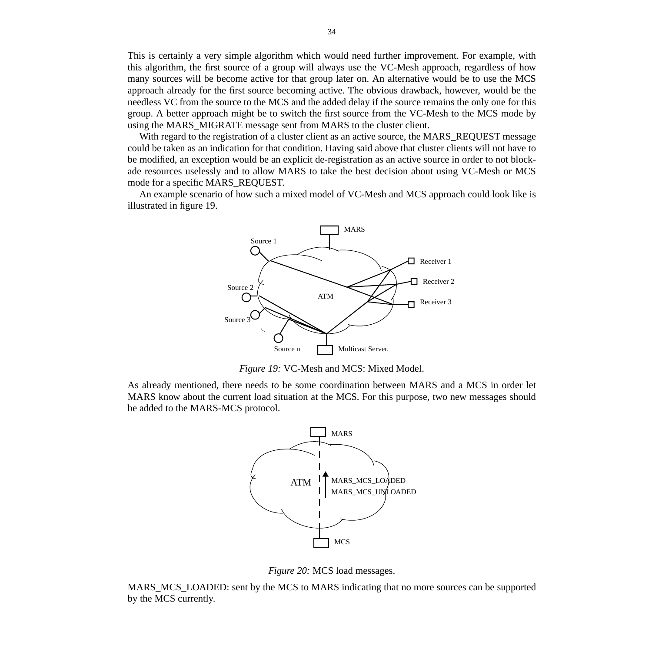This is certainly a very simple algorithm which would need further improvement. For example, with this algorithm, the first source of a group will always use the VC-Mesh approach, regardless of how many sources will be become active for that group later on. An alternative would be to use the MCS approach already for the first source becoming active. The obvious drawback, however, would be the needless VC from the source to the MCS and the added delay if the source remains the only one for this group. A better approach might be to switch the first source from the VC-Mesh to the MCS mode by using the MARS\_MIGRATE message sent from MARS to the cluster client.

With regard to the registration of a cluster client as an active source, the MARS\_REQUEST message could be taken as an indication for that condition. Having said above that cluster clients will not have to be modified, an exception would be an explicit de-registration as an active source in order to not blockade resources uselessly and to allow MARS to take the best decision about using VC-Mesh or MCS mode for a specific MARS\_REQUEST.

An example scenario of how such a mixed model of VC-Mesh and MCS approach could look like is illustrated in figure 19.



*Figure 19:* VC-Mesh and MCS: Mixed Model.

As already mentioned, there needs to be some coordination between MARS and a MCS in order let MARS know about the current load situation at the MCS. For this purpose, two new messages should be added to the MARS-MCS protocol.



*Figure 20:* MCS load messages.

MARS\_MCS\_LOADED: sent by the MCS to MARS indicating that no more sources can be supported by the MCS currently.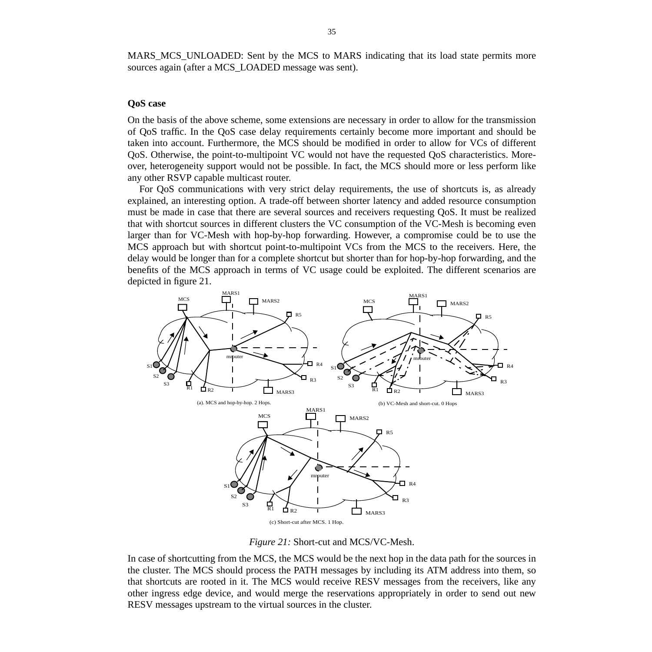MARS\_MCS\_UNLOADED: Sent by the MCS to MARS indicating that its load state permits more sources again (after a MCS\_LOADED message was sent).

#### **QoS case**

On the basis of the above scheme, some extensions are necessary in order to allow for the transmission of QoS traffic. In the QoS case delay requirements certainly become more important and should be taken into account. Furthermore, the MCS should be modified in order to allow for VCs of different QoS. Otherwise, the point-to-multipoint VC would not have the requested QoS characteristics. Moreover, heterogeneity support would not be possible. In fact, the MCS should more or less perform like any other RSVP capable multicast router.

For QoS communications with very strict delay requirements, the use of shortcuts is, as already explained, an interesting option. A trade-off between shorter latency and added resource consumption must be made in case that there are several sources and receivers requesting QoS. It must be realized that with shortcut sources in different clusters the VC consumption of the VC-Mesh is becoming even larger than for VC-Mesh with hop-by-hop forwarding. However, a compromise could be to use the MCS approach but with shortcut point-to-multipoint VCs from the MCS to the receivers. Here, the delay would be longer than for a complete shortcut but shorter than for hop-by-hop forwarding, and the benefits of the MCS approach in terms of VC usage could be exploited. The different scenarios are depicted in figure 21.



*Figure 21:* Short-cut and MCS/VC-Mesh.

In case of shortcutting from the MCS, the MCS would be the next hop in the data path for the sources in the cluster. The MCS should process the PATH messages by including its ATM address into them, so that shortcuts are rooted in it. The MCS would receive RESV messages from the receivers, like any other ingress edge device, and would merge the reservations appropriately in order to send out new RESV messages upstream to the virtual sources in the cluster.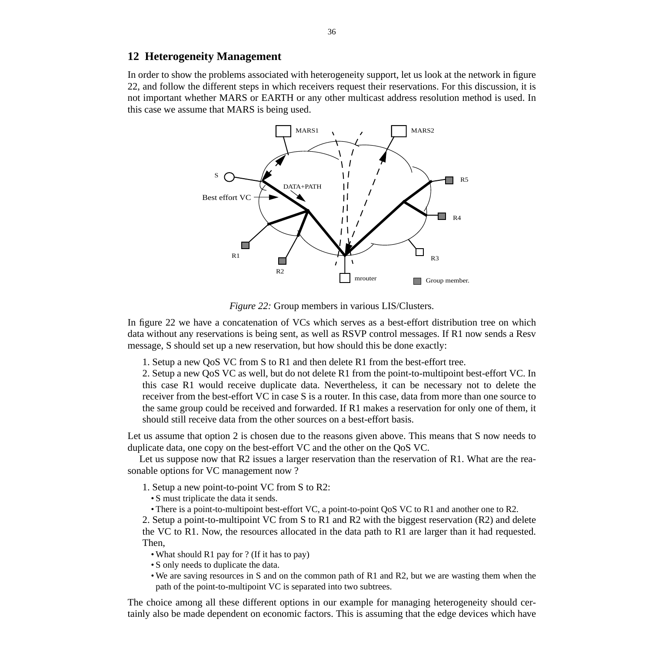## <span id="page-36-0"></span>**12 Heterogeneity Management**

In order to show the problems associated with heterogeneity support, let us look at the network in figure 22, and follow the different steps in which receivers request their reservations. For this discussion, it is not important whether MARS or EARTH or any other multicast address resolution method is used. In this case we assume that MARS is being used.



*Figure 22:* Group members in various LIS/Clusters.

In figure 22 we have a concatenation of VCs which serves as a best-effort distribution tree on which data without any reservations is being sent, as well as RSVP control messages. If R1 now sends a Resv message, S should set up a new reservation, but how should this be done exactly:

1. Setup a new QoS VC from S to R1 and then delete R1 from the best-effort tree.

2. Setup a new QoS VC as well, but do not delete R1 from the point-to-multipoint best-effort VC. In this case R1 would receive duplicate data. Nevertheless, it can be necessary not to delete the receiver from the best-effort VC in case S is a router. In this case, data from more than one source to the same group could be received and forwarded. If R1 makes a reservation for only one of them, it should still receive data from the other sources on a best-effort basis.

Let us assume that option 2 is chosen due to the reasons given above. This means that S now needs to duplicate data, one copy on the best-effort VC and the other on the QoS VC.

Let us suppose now that R2 issues a larger reservation than the reservation of R1. What are the reasonable options for VC management now ?

- 1. Setup a new point-to-point VC from S to R2:
	- S must triplicate the data it sends.
	- There is a point-to-multipoint best-effort VC, a point-to-point QoS VC to R1 and another one to R2.

2. Setup a point-to-multipoint VC from S to R1 and R2 with the biggest reservation (R2) and delete the VC to R1. Now, the resources allocated in the data path to R1 are larger than it had requested. Then,

- What should R1 pay for ? (If it has to pay)
- S only needs to duplicate the data.
- We are saving resources in S and on the common path of R1 and R2, but we are wasting them when the path of the point-to-multipoint VC is separated into two subtrees.

The choice among all these different options in our example for managing heterogeneity should certainly also be made dependent on economic factors. This is assuming that the edge devices which have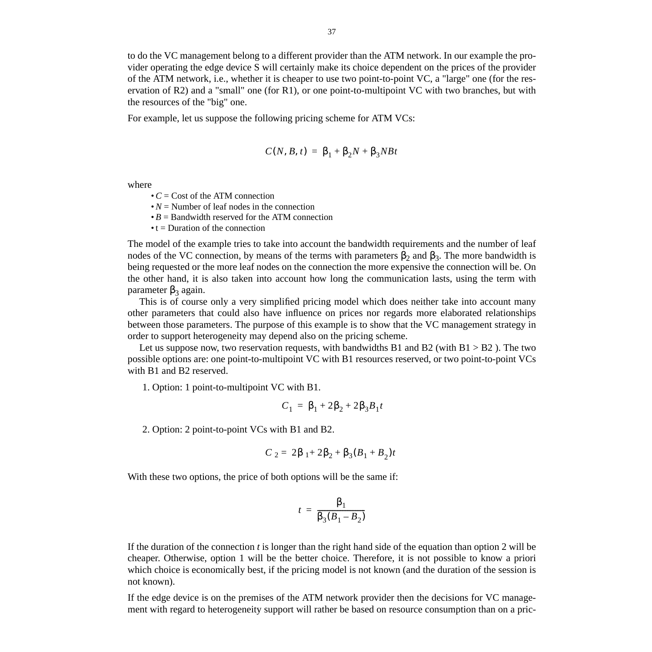to do the VC management belong to a different provider than the ATM network. In our example the provider operating the edge device S will certainly make its choice dependent on the prices of the provider of the ATM network, i.e., whether it is cheaper to use two point-to-point VC, a "large" one (for the reservation of R2) and a "small" one (for R1), or one point-to-multipoint VC with two branches, but with the resources of the "big" one.

For example, let us suppose the following pricing scheme for ATM VCs:

$$
C(N, B, t) = \beta_1 + \beta_2 N + \beta_3 N B t
$$

where

 $\bullet C = \text{Cost of the ATM connection}$ 

- • $N =$ Number of leaf nodes in the connection
- $\bullet$  *B* = Bandwidth reserved for the ATM connection
- $\bullet$  t = Duration of the connection

The model of the example tries to take into account the bandwidth requirements and the number of leaf nodes of the VC connection, by means of the terms with parameters  $β_2$  and  $β_3$ . The more bandwidth is being requested or the more leaf nodes on the connection the more expensive the connection will be. On the other hand, it is also taken into account how long the communication lasts, using the term with parameter  $β_3$  again.

This is of course only a very simplified pricing model which does neither take into account many other parameters that could also have influence on prices nor regards more elaborated relationships between those parameters. The purpose of this example is to show that the VC management strategy in order to support heterogeneity may depend also on the pricing scheme.

Let us suppose now, two reservation requests, with bandwidths B1 and B2 (with  $B1 > B2$ ). The two possible options are: one point-to-multipoint VC with B1 resources reserved, or two point-to-point VCs with B1 and B2 reserved.

1. Option: 1 point-to-multipoint VC with B1.

$$
C_1 = \beta_1 + 2\beta_2 + 2\beta_3 B_1 t
$$

2. Option: 2 point-to-point VCs with B1 and B2.

$$
C_2 = 2\beta_1 + 2\beta_2 + \beta_3 (B_1 + B_2)t
$$

With these two options, the price of both options will be the same if:

$$
t = \frac{\beta_1}{\beta_3(B_1 - B_2)}
$$

If the duration of the connection *t* is longer than the right hand side of the equation than option 2 will be cheaper. Otherwise, option 1 will be the better choice. Therefore, it is not possible to know a priori which choice is economically best, if the pricing model is not known (and the duration of the session is not known).

If the edge device is on the premises of the ATM network provider then the decisions for VC management with regard to heterogeneity support will rather be based on resource consumption than on a pric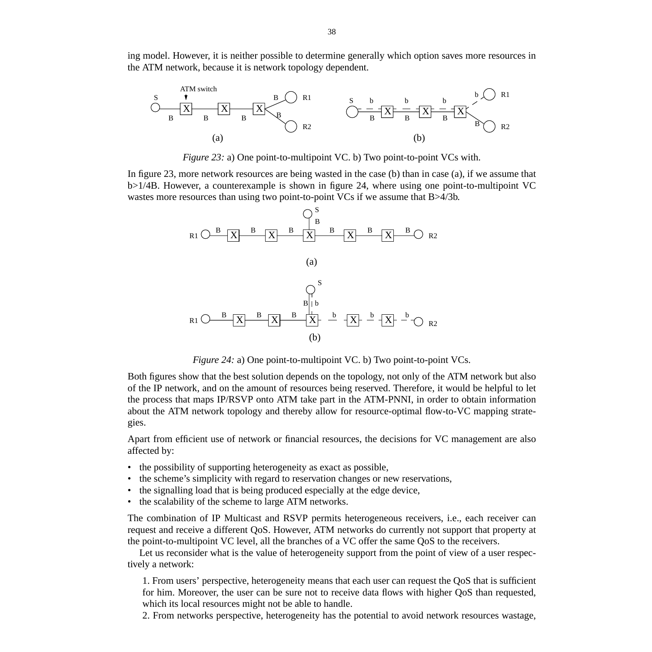ing model. However, it is neither possible to determine generally which option saves more resources in the ATM network, because it is network topology dependent.



*Figure 23:* a) One point-to-multipoint VC. b) Two point-to-point VCs with.

In figure 23, more network resources are being wasted in the case (b) than in case (a), if we assume that b>1/4B. However, a counterexample is shown in figure 24, where using one point-to-multipoint VC wastes more resources than using two point-to-point VCs if we assume that B>4/3b.



*Figure 24:* a) One point-to-multipoint VC. b) Two point-to-point VCs.

Both figures show that the best solution depends on the topology, not only of the ATM network but also of the IP network, and on the amount of resources being reserved. Therefore, it would be helpful to let the process that maps IP/RSVP onto ATM take part in the ATM-PNNI, in order to obtain information about the ATM network topology and thereby allow for resource-optimal flow-to-VC mapping strategies.

Apart from efficient use of network or financial resources, the decisions for VC management are also affected by:

- the possibility of supporting heterogeneity as exact as possible,
- the scheme's simplicity with regard to reservation changes or new reservations,
- the signalling load that is being produced especially at the edge device,
- the scalability of the scheme to large ATM networks.

The combination of IP Multicast and RSVP permits heterogeneous receivers, i.e., each receiver can request and receive a different QoS. However, ATM networks do currently not support that property at the point-to-multipoint VC level, all the branches of a VC offer the same QoS to the receivers.

Let us reconsider what is the value of heterogeneity support from the point of view of a user respectively a network:

1. From users' perspective, heterogeneity means that each user can request the QoS that is sufficient for him. Moreover, the user can be sure not to receive data flows with higher QoS than requested, which its local resources might not be able to handle.

2. From networks perspective, heterogeneity has the potential to avoid network resources wastage,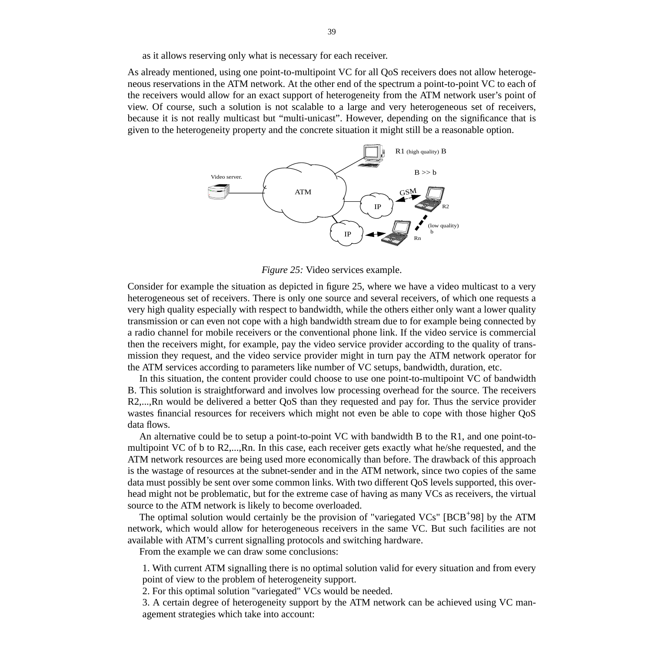as it allows reserving only what is necessary for each receiver.

As already mentioned, using one point-to-multipoint VC for all QoS receivers does not allow heterogeneous reservations in the ATM network. At the other end of the spectrum a point-to-point VC to each of the receivers would allow for an exact support of heterogeneity from the ATM network user's point of view. Of course, such a solution is not scalable to a large and very heterogeneous set of receivers, because it is not really multicast but "multi-unicast". However, depending on the significance that is given to the heterogeneity property and the concrete situation it might still be a reasonable option.



*Figure 25:* Video services example.

Consider for example the situation as depicted in figure 25, where we have a video multicast to a very heterogeneous set of receivers. There is only one source and several receivers, of which one requests a very high quality especially with respect to bandwidth, while the others either only want a lower quality transmission or can even not cope with a high bandwidth stream due to for example being connected by a radio channel for mobile receivers or the conventional phone link. If the video service is commercial then the receivers might, for example, pay the video service provider according to the quality of transmission they request, and the video service provider might in turn pay the ATM network operator for the ATM services according to parameters like number of VC setups, bandwidth, duration, etc.

In this situation, the content provider could choose to use one point-to-multipoint VC of bandwidth B. This solution is straightforward and involves low processing overhead for the source. The receivers R2,...,Rn would be delivered a better QoS than they requested and pay for. Thus the service provider wastes financial resources for receivers which might not even be able to cope with those higher QoS data flows.

An alternative could be to setup a point-to-point VC with bandwidth B to the R1, and one point-tomultipoint VC of b to R2,...,Rn. In this case, each receiver gets exactly what he/she requested, and the ATM network resources are being used more economically than before. The drawback of this approach is the wastage of resources at the subnet-sender and in the ATM network, since two copies of the same data must possibly be sent over some common links. With two different QoS levels supported, this overhead might not be problematic, but for the extreme case of having as many VCs as receivers, the virtual source to the ATM network is likely to become overloaded.

The optimal solution would certainly be the provision of "variegated VCs" [BCB+98] by the ATM network, which would allow for heterogeneous receivers in the same VC. But such facilities are not available with ATM's current signalling protocols and switching hardware.

From the example we can draw some conclusions:

1. With current ATM signalling there is no optimal solution valid for every situation and from every point of view to the problem of heterogeneity support.

2. For this optimal solution "variegated" VCs would be needed.

3. A certain degree of heterogeneity support by the ATM network can be achieved using VC management strategies which take into account: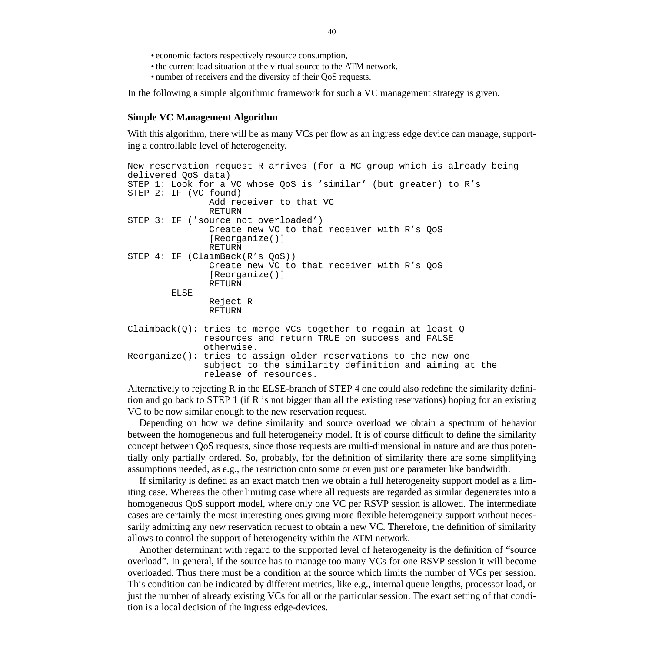- economic factors respectively resource consumption,
- the current load situation at the virtual source to the ATM network,
- number of receivers and the diversity of their OoS requests.

In the following a simple algorithmic framework for such a VC management strategy is given.

#### **Simple VC Management Algorithm**

With this algorithm, there will be as many VCs per flow as an ingress edge device can manage, supporting a controllable level of heterogeneity.

```
New reservation request R arrives (for a MC group which is already being
delivered QoS data)
STEP 1: Look for a VC whose QoS is 'similar' (but greater) to R's
STEP 2: IF (VC found)
               Add receiver to that VC
               RETURN
STEP 3: IF ('source not overloaded')
               Create new VC to that receiver with R's QoS
               [Reorganize()]
               RETURN
STEP 4: IF (ClaimBack(R's QoS))
               Create new VC to that receiver with R's QoS
               [Reorganize()]
               RETURN
        ELSE
               Reject R
               RETURN
Claimback(Q): tries to merge VCs together to regain at least Qresources and return TRUE on success and FALSE
              otherwise.
Reorganize(): tries to assign older reservations to the new one
              subject to the similarity definition and aiming at the
              release of resources.
```
Alternatively to rejecting R in the ELSE-branch of STEP 4 one could also redefine the similarity definition and go back to STEP 1 (if R is not bigger than all the existing reservations) hoping for an existing VC to be now similar enough to the new reservation request.

Depending on how we define similarity and source overload we obtain a spectrum of behavior between the homogeneous and full heterogeneity model. It is of course difficult to define the similarity concept between QoS requests, since those requests are multi-dimensional in nature and are thus potentially only partially ordered. So, probably, for the definition of similarity there are some simplifying assumptions needed, as e.g., the restriction onto some or even just one parameter like bandwidth.

If similarity is defined as an exact match then we obtain a full heterogeneity support model as a limiting case. Whereas the other limiting case where all requests are regarded as similar degenerates into a homogeneous QoS support model, where only one VC per RSVP session is allowed. The intermediate cases are certainly the most interesting ones giving more flexible heterogeneity support without necessarily admitting any new reservation request to obtain a new VC. Therefore, the definition of similarity allows to control the support of heterogeneity within the ATM network.

Another determinant with regard to the supported level of heterogeneity is the definition of "source overload". In general, if the source has to manage too many VCs for one RSVP session it will become overloaded. Thus there must be a condition at the source which limits the number of VCs per session. This condition can be indicated by different metrics, like e.g., internal queue lengths, processor load, or just the number of already existing VCs for all or the particular session. The exact setting of that condition is a local decision of the ingress edge-devices.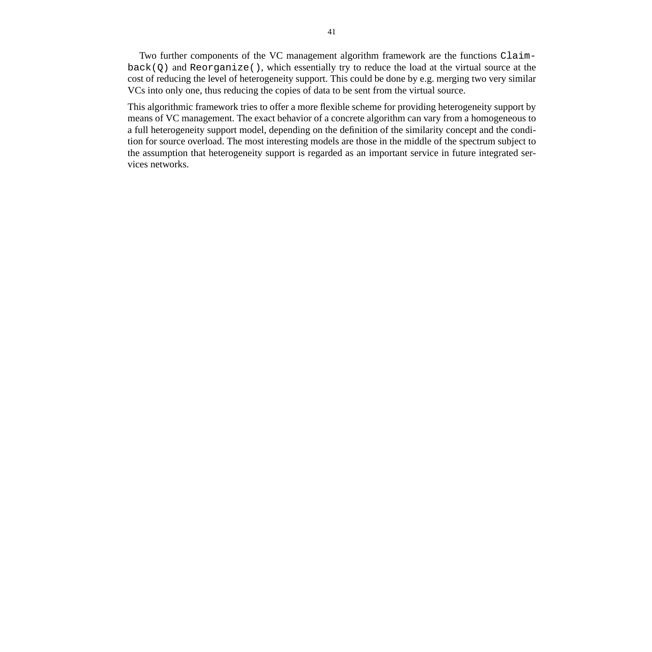Two further components of the VC management algorithm framework are the functions Claim $back(Q)$  and Reorganize(), which essentially try to reduce the load at the virtual source at the cost of reducing the level of heterogeneity support. This could be done by e.g. merging two very similar VCs into only one, thus reducing the copies of data to be sent from the virtual source.

This algorithmic framework tries to offer a more flexible scheme for providing heterogeneity support by means of VC management. The exact behavior of a concrete algorithm can vary from a homogeneous to a full heterogeneity support model, depending on the definition of the similarity concept and the condition for source overload. The most interesting models are those in the middle of the spectrum subject to the assumption that heterogeneity support is regarded as an important service in future integrated services networks.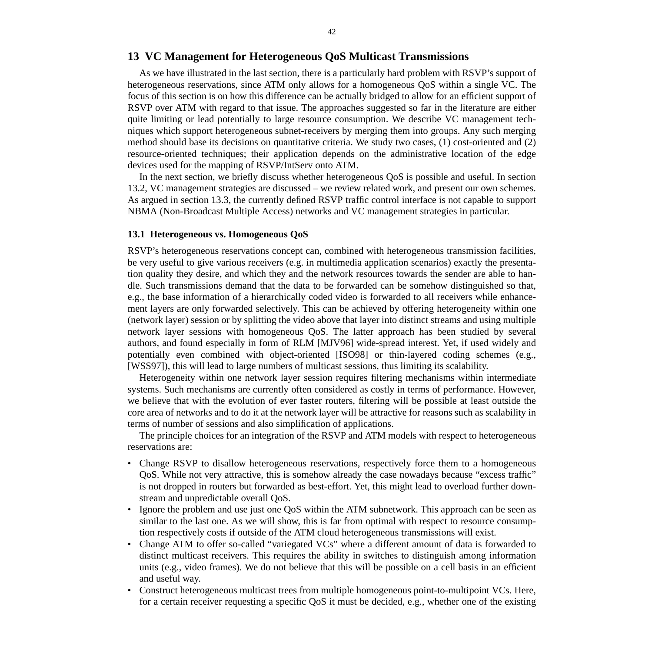### <span id="page-42-0"></span>**13 VC Management for Heterogeneous QoS Multicast Transmissions**

As we have illustrated in the last section, there is a particularly hard problem with RSVP's support of heterogeneous reservations, since ATM only allows for a homogeneous QoS within a single VC. The focus of this section is on how this difference can be actually bridged to allow for an efficient support of RSVP over ATM with regard to that issue. The approaches suggested so far in the literature are either quite limiting or lead potentially to large resource consumption. We describe VC management techniques which support heterogeneous subnet-receivers by merging them into groups. Any such merging method should base its decisions on quantitative criteria. We study two cases, (1) cost-oriented and (2) resource-oriented techniques; their application depends on the administrative location of the edge devices used for the mapping of RSVP/IntServ onto ATM.

In the next section, we briefly discuss whether heterogeneous QoS is possible and useful. In [section](#page-43-0) [13.2](#page-43-0), VC management strategies are discussed – we review related work, and present our own schemes. As argued in [section 13.3,](#page-51-0) the currently defined RSVP traffic control interface is not capable to support NBMA (Non-Broadcast Multiple Access) networks and VC management strategies in particular.

#### **13.1 Heterogeneous vs. Homogeneous QoS**

RSVP's heterogeneous reservations concept can, combined with heterogeneous transmission facilities, be very useful to give various receivers (e.g. in multimedia application scenarios) exactly the presentation quality they desire, and which they and the network resources towards the sender are able to handle. Such transmissions demand that the data to be forwarded can be somehow distinguished so that, e.g., the base information of a hierarchically coded video is forwarded to all receivers while enhancement layers are only forwarded selectively. This can be achieved by offering heterogeneity within one (network layer) session or by splitting the video above that layer into distinct streams and using multiple network layer sessions with homogeneous QoS. The latter approach has been studied by several authors, and found especially in form of RLM [MJV96] wide-spread interest. Yet, if used widely and potentially even combined with object-oriented [ISO98] or thin-layered coding schemes (e.g., [WSS97]), this will lead to large numbers of multicast sessions, thus limiting its scalability.

Heterogeneity within one network layer session requires filtering mechanisms within intermediate systems. Such mechanisms are currently often considered as costly in terms of performance. However, we believe that with the evolution of ever faster routers, filtering will be possible at least outside the core area of networks and to do it at the network layer will be attractive for reasons such as scalability in terms of number of sessions and also simplification of applications.

The principle choices for an integration of the RSVP and ATM models with respect to heterogeneous reservations are:

- Change RSVP to disallow heterogeneous reservations, respectively force them to a homogeneous QoS. While not very attractive, this is somehow already the case nowadays because "excess traffic" is not dropped in routers but forwarded as best-effort. Yet, this might lead to overload further downstream and unpredictable overall QoS.
- Ignore the problem and use just one QoS within the ATM subnetwork. This approach can be seen as similar to the last one. As we will show, this is far from optimal with respect to resource consumption respectively costs if outside of the ATM cloud heterogeneous transmissions will exist.
- Change ATM to offer so-called "variegated VCs" where a different amount of data is forwarded to distinct multicast receivers. This requires the ability in switches to distinguish among information units (e.g., video frames). We do not believe that this will be possible on a cell basis in an efficient and useful way.
- Construct heterogeneous multicast trees from multiple homogeneous point-to-multipoint VCs. Here, for a certain receiver requesting a specific QoS it must be decided, e.g., whether one of the existing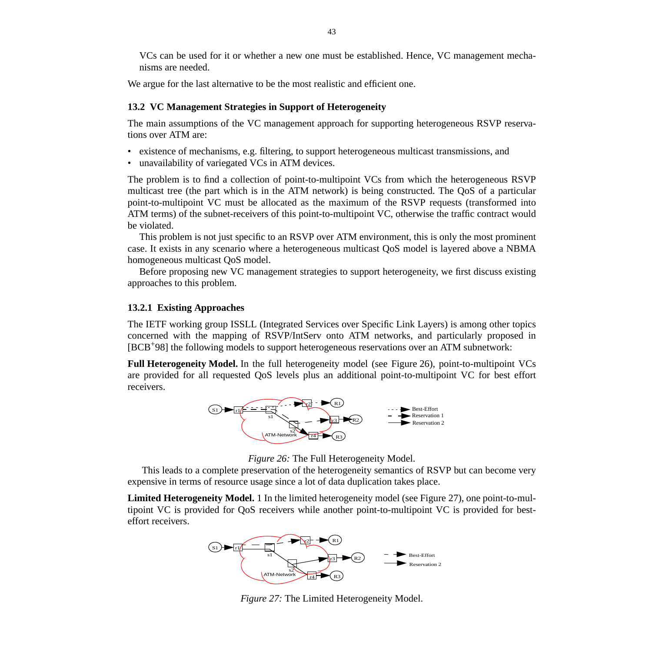<span id="page-43-0"></span>VCs can be used for it or whether a new one must be established. Hence, VC management mechanisms are needed.

We argue for the last alternative to be the most realistic and efficient one.

### **13.2 VC Management Strategies in Support of Heterogeneity**

The main assumptions of the VC management approach for supporting heterogeneous RSVP reservations over ATM are:

- existence of mechanisms, e.g. filtering, to support heterogeneous multicast transmissions, and
- unavailability of variegated VCs in ATM devices.

The problem is to find a collection of point-to-multipoint VCs from which the heterogeneous RSVP multicast tree (the part which is in the ATM network) is being constructed. The QoS of a particular point-to-multipoint VC must be allocated as the maximum of the RSVP requests (transformed into ATM terms) of the subnet-receivers of this point-to-multipoint VC, otherwise the traffic contract would be violated.

This problem is not just specific to an RSVP over ATM environment, this is only the most prominent case. It exists in any scenario where a heterogeneous multicast QoS model is layered above a NBMA homogeneous multicast QoS model.

Before proposing new VC management strategies to support heterogeneity, we first discuss existing approaches to this problem.

### **13.2.1 Existing Approaches**

The IETF working group ISSLL (Integrated Services over Specific Link Layers) is among other topics concerned with the mapping of RSVP/IntServ onto ATM networks, and particularly proposed in [BCB+98] the following models to support heterogeneous reservations over an ATM subnetwork:

**Full Heterogeneity Model.** In the full heterogeneity model (see Figure 26), point-to-multipoint VCs are provided for all requested QoS levels plus an additional point-to-multipoint VC for best effort receivers.



*Figure 26:* The Full Heterogeneity Model.

This leads to a complete preservation of the heterogeneity semantics of RSVP but can become very expensive in terms of resource usage since a lot of data duplication takes place.

**Limited Heterogeneity Model.** 1 In the limited heterogeneity model (see Figure 27), one point-to-multipoint VC is provided for QoS receivers while another point-to-multipoint VC is provided for besteffort receivers.



*Figure 27:* The Limited Heterogeneity Model.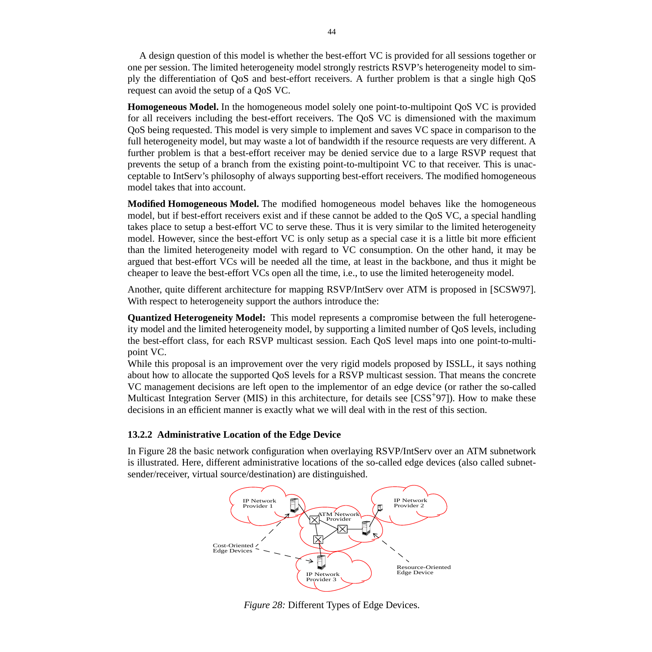A design question of this model is whether the best-effort VC is provided for all sessions together or one per session. The limited heterogeneity model strongly restricts RSVP's heterogeneity model to simply the differentiation of QoS and best-effort receivers. A further problem is that a single high QoS request can avoid the setup of a QoS VC.

**Homogeneous Model.** In the homogeneous model solely one point-to-multipoint QoS VC is provided for all receivers including the best-effort receivers. The QoS VC is dimensioned with the maximum QoS being requested. This model is very simple to implement and saves VC space in comparison to the full heterogeneity model, but may waste a lot of bandwidth if the resource requests are very different. A further problem is that a best-effort receiver may be denied service due to a large RSVP request that prevents the setup of a branch from the existing point-to-multipoint VC to that receiver. This is unacceptable to IntServ's philosophy of always supporting best-effort receivers. The modified homogeneous model takes that into account.

**Modified Homogeneous Model.** The modified homogeneous model behaves like the homogeneous model, but if best-effort receivers exist and if these cannot be added to the QoS VC, a special handling takes place to setup a best-effort VC to serve these. Thus it is very similar to the limited heterogeneity model. However, since the best-effort VC is only setup as a special case it is a little bit more efficient than the limited heterogeneity model with regard to VC consumption. On the other hand, it may be argued that best-effort VCs will be needed all the time, at least in the backbone, and thus it might be cheaper to leave the best-effort VCs open all the time, i.e., to use the limited heterogeneity model.

Another, quite different architecture for mapping RSVP/IntServ over ATM is proposed in [SCSW97]. With respect to heterogeneity support the authors introduce the:

**Quantized Heterogeneity Model:** This model represents a compromise between the full heterogeneity model and the limited heterogeneity model, by supporting a limited number of QoS levels, including the best-effort class, for each RSVP multicast session. Each QoS level maps into one point-to-multipoint VC.

While this proposal is an improvement over the very rigid models proposed by ISSLL, it says nothing about how to allocate the supported QoS levels for a RSVP multicast session. That means the concrete VC management decisions are left open to the implementor of an edge device (or rather the so-called Multicast Integration Server (MIS) in this architecture, for details see [CSS<sup>+97</sup>]). How to make these decisions in an efficient manner is exactly what we will deal with in the rest of this section.

### **13.2.2 Administrative Location of the Edge Device**

In Figure 28 the basic network configuration when overlaying RSVP/IntServ over an ATM subnetwork is illustrated. Here, different administrative locations of the so-called edge devices (also called subnetsender/receiver, virtual source/destination) are distinguished.



*Figure 28:* Different Types of Edge Devices.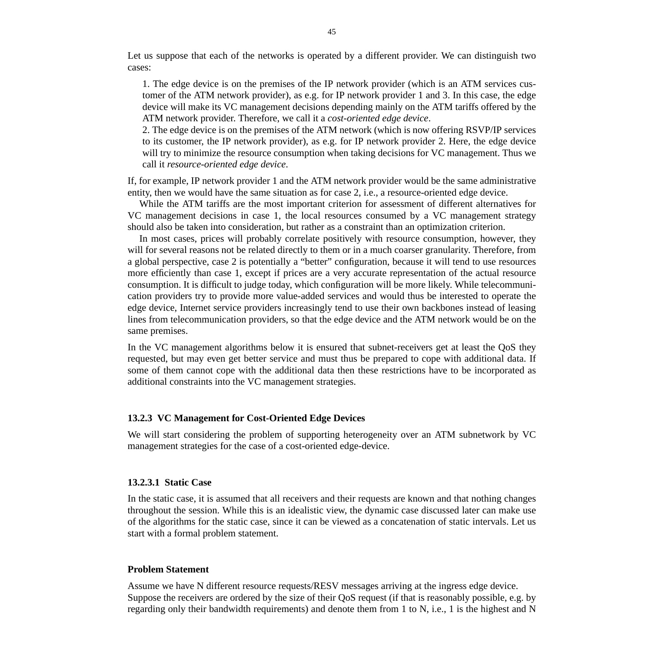Let us suppose that each of the networks is operated by a different provider. We can distinguish two cases:

1. The edge device is on the premises of the IP network provider (which is an ATM services customer of the ATM network provider), as e.g. for IP network provider 1 and 3. In this case, the edge device will make its VC management decisions depending mainly on the ATM tariffs offered by the ATM network provider. Therefore, we call it a *cost-oriented edge device*.

2. The edge device is on the premises of the ATM network (which is now offering RSVP/IP services to its customer, the IP network provider), as e.g. for IP network provider 2. Here, the edge device will try to minimize the resource consumption when taking decisions for VC management. Thus we call it *resource-oriented edge device*.

If, for example, IP network provider 1 and the ATM network provider would be the same administrative entity, then we would have the same situation as for case 2, i.e., a resource-oriented edge device.

While the ATM tariffs are the most important criterion for assessment of different alternatives for VC management decisions in case 1, the local resources consumed by a VC management strategy should also be taken into consideration, but rather as a constraint than an optimization criterion.

In most cases, prices will probably correlate positively with resource consumption, however, they will for several reasons not be related directly to them or in a much coarser granularity. Therefore, from a global perspective, case 2 is potentially a "better" configuration, because it will tend to use resources more efficiently than case 1, except if prices are a very accurate representation of the actual resource consumption. It is difficult to judge today, which configuration will be more likely. While telecommunication providers try to provide more value-added services and would thus be interested to operate the edge device, Internet service providers increasingly tend to use their own backbones instead of leasing lines from telecommunication providers, so that the edge device and the ATM network would be on the same premises.

In the VC management algorithms below it is ensured that subnet-receivers get at least the QoS they requested, but may even get better service and must thus be prepared to cope with additional data. If some of them cannot cope with the additional data then these restrictions have to be incorporated as additional constraints into the VC management strategies.

#### **13.2.3 VC Management for Cost-Oriented Edge Devices**

We will start considering the problem of supporting heterogeneity over an ATM subnetwork by VC management strategies for the case of a cost-oriented edge-device.

### **13.2.3.1 Static Case**

In the static case, it is assumed that all receivers and their requests are known and that nothing changes throughout the session. While this is an idealistic view, the dynamic case discussed later can make use of the algorithms for the static case, since it can be viewed as a concatenation of static intervals. Let us start with a formal problem statement.

#### **Problem Statement**

Assume we have N different resource requests/RESV messages arriving at the ingress edge device. Suppose the receivers are ordered by the size of their QoS request (if that is reasonably possible, e.g. by regarding only their bandwidth requirements) and denote them from 1 to N, i.e., 1 is the highest and N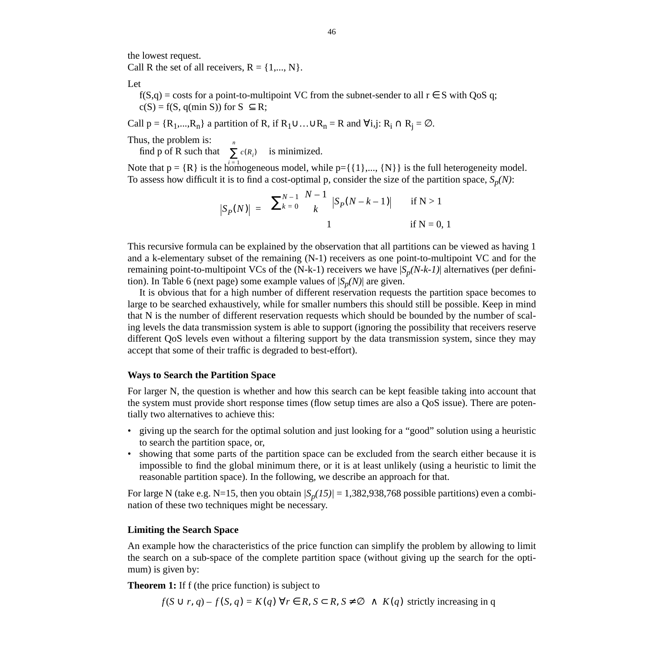the lowest request. Call R the set of all receivers,  $R = \{1,..., N\}$ .

Let

 $f(S,q) = \text{costs}$  for a point-to-multipoint VC from the subnet-sender to all  $r \in S$  with QoS q;  $c(S) = f(S, q(min S))$  for  $S \subseteq R$ ;

Call  $p = \{R_1,...,R_n\}$  a partition of R, if  $R_1 \cup ... \cup R_n = R$  and  $\forall i, j: R_i \cap R_j = \emptyset$ .

Thus, the problem is:

find p of R such that  $\sum c(R_i)$  is minimized. *n* ∑

Note that  $p = \{R\}$  is the homogeneous model, while  $p = \{\{1\},..., \{N\}\}\$ is the full heterogeneity model. To assess how difficult it is to find a cost-optimal p, consider the size of the partition space,  $S_p(N)$ :

$$
|S_P(N)| = \begin{cases} \sum_{k=0}^{N-1} {N-1 \choose k} |S_P(N-k-1)| & \text{if } N > 1 \\ 1 & \text{if } N = 0, 1 \end{cases}
$$

This recursive formula can be explained by the observation that all partitions can be viewed as having 1 and a k-elementary subset of the remaining (N-1) receivers as one point-to-multipoint VC and for the remaining point-to-multipoint VCs of the (N-k-1) receivers we have  $|S_p(N-k-1)|$  alternatives (per defini-tion). In [Table 6](#page-47-0) (next page) some example values of  $|S_p(N)|$  are given.

It is obvious that for a high number of different reservation requests the partition space becomes to large to be searched exhaustively, while for smaller numbers this should still be possible. Keep in mind that N is the number of different reservation requests which should be bounded by the number of scaling levels the data transmission system is able to support (ignoring the possibility that receivers reserve different QoS levels even without a filtering support by the data transmission system, since they may accept that some of their traffic is degraded to best-effort).

#### **Ways to Search the Partition Space**

For larger N, the question is whether and how this search can be kept feasible taking into account that the system must provide short response times (flow setup times are also a QoS issue). There are potentially two alternatives to achieve this:

- giving up the search for the optimal solution and just looking for a "good" solution using a heuristic to search the partition space, or,
- showing that some parts of the partition space can be excluded from the search either because it is impossible to find the global minimum there, or it is at least unlikely (using a heuristic to limit the reasonable partition space). In the following, we describe an approach for that.

For large N (take e.g. N=15, then you obtain  $|S_p(15)| = 1,382,938,768$  possible partitions) even a combination of these two techniques might be necessary.

#### **Limiting the Search Space**

An example how the characteristics of the price function can simplify the problem by allowing to limit the search on a sub-space of the complete partition space (without giving up the search for the optimum) is given by:

**Theorem 1:** If f (the price function) is subject to

$$
f(S \cup r, q) - f(S, q) = K(q) \,\forall r \in R, S \subset R, S \neq \emptyset \land K(q)
$$
 strictly increasing in q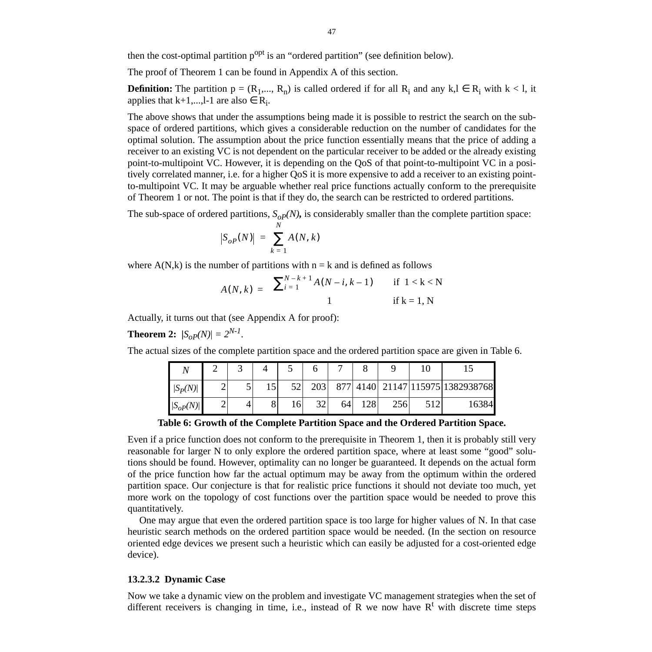<span id="page-47-0"></span>then the cost-optimal partition  $p^{opt}$  is an "ordered partition" (see definition below).

The proof of Theorem 1 can be found in [Appendix A](#page-53-0) of this section.

**Definition:** The partition  $p = (R_1,..., R_n)$  is called ordered if for all  $R_i$  and any  $k, l \in R_i$  with  $k < l$ , it applies that  $k+1,...,l-1$  are also  $\in R_i$ .

The above shows that under the assumptions being made it is possible to restrict the search on the subspace of ordered partitions, which gives a considerable reduction on the number of candidates for the optimal solution. The assumption about the price function essentially means that the price of adding a receiver to an existing VC is not dependent on the particular receiver to be added or the already existing point-to-multipoint VC. However, it is depending on the QoS of that point-to-multipoint VC in a positively correlated manner, i.e. for a higher QoS it is more expensive to add a receiver to an existing pointto-multipoint VC. It may be arguable whether real price functions actually conform to the prerequisite of Theorem 1 or not. The point is that if they do, the search can be restricted to ordered partitions.

The sub-space of ordered partitions,  $S_{\text{op}}(N)$ *,* is considerably smaller than the complete partition space:

$$
\left|S_{oP}(N)\right| = \sum_{k=1}^{N} A(N,k)
$$

where  $A(N,k)$  is the number of partitions with  $n = k$  and is defined as follows

$$
A(N,k) = \begin{cases} \sum_{i=1}^{N-k+1} A(N-i, k-1) & \text{if } 1 < k < N \\ 1 & \text{if } k = 1, N \end{cases}
$$

Actually, it turns out that (see A[ppendix A fo](#page-53-0)r proof):

**Theorem 2:**  $|S_{\alpha P}(N)| = 2^{N-1}$ .

The actual sizes of the complete partition space and the ordered partition space are given in Table 6.

| $\overline{N}$ |   |   |          |    |                |     |      |     |     |                         |
|----------------|---|---|----------|----|----------------|-----|------|-----|-----|-------------------------|
| $ S_P(N) $     |   | ັ | 15<br>IJ | 52 | 203            | 877 | 4140 |     |     | 21147 115975 1382938768 |
| $ S_{oP}(N) $  | ∸ |   | Õ        | 16 | $\mathfrak{D}$ | 64  | 128  | 256 | 512 | 16384                   |

**Table 6: Growth of the Complete Partition Space and the Ordered Partition Space.**

Even if a price function does not conform to the prerequisite in Theorem 1, then it is probably still very reasonable for larger N to only explore the ordered partition space, where at least some "good" solutions should be found. However, optimality can no longer be guaranteed. It depends on the actual form of the price function how far the actual optimum may be away from the optimum within the ordered partition space. Our conjecture is that for realistic price functions it should not deviate too much, yet more work on the topology of cost functions over the partition space would be needed to prove this quantitatively.

One may argue that even the ordered partition space is too large for higher values of N. In that case heuristic search methods on the ordered partition space would be needed. (In the section on resource oriented edge devices we present such a heuristic which can easily be adjusted for a cost-oriented edge device).

#### **13.2.3.2 Dynamic Case**

Now we take a dynamic view on the problem and investigate VC management strategies when the set of different receivers is changing in time, i.e., instead of R we now have  $R<sup>t</sup>$  with discrete time steps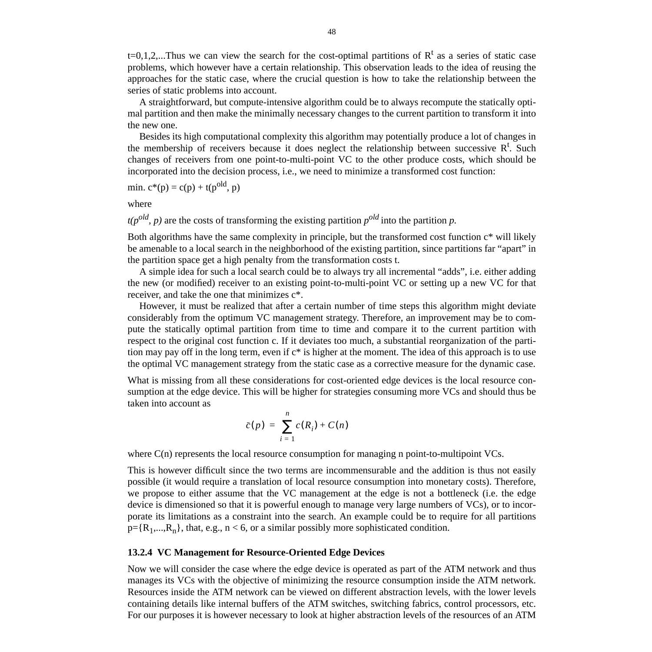t=0,1,2,...Thus we can view the search for the cost-optimal partitions of  $R^t$  as a series of static case problems, which however have a certain relationship. This observation leads to the idea of reusing the approaches for the static case, where the crucial question is how to take the relationship between the series of static problems into account.

A straightforward, but compute-intensive algorithm could be to always recompute the statically optimal partition and then make the minimally necessary changes to the current partition to transform it into the new one.

Besides its high computational complexity this algorithm may potentially produce a lot of changes in the membership of receivers because it does neglect the relationship between successive  $R^t$ . Such changes of receivers from one point-to-multi-point VC to the other produce costs, which should be incorporated into the decision process, i.e., we need to minimize a transformed cost function:

$$
min. c*(p) = c(p) + t(p^{old}, p)
$$

where

 $t(p^{old}, p)$  are the costs of transforming the existing partition  $p^{old}$  into the partition  $p$ .

Both algorithms have the same complexity in principle, but the transformed cost function  $c^*$  will likely be amenable to a local search in the neighborhood of the existing partition, since partitions far "apart" in the partition space get a high penalty from the transformation costs t.

A simple idea for such a local search could be to always try all incremental "adds", i.e. either adding the new (or modified) receiver to an existing point-to-multi-point VC or setting up a new VC for that receiver, and take the one that minimizes c\*.

However, it must be realized that after a certain number of time steps this algorithm might deviate considerably from the optimum VC management strategy. Therefore, an improvement may be to compute the statically optimal partition from time to time and compare it to the current partition with respect to the original cost function c. If it deviates too much, a substantial reorganization of the partition may pay off in the long term, even if c\* is higher at the moment. The idea of this approach is to use the optimal VC management strategy from the static case as a corrective measure for the dynamic case.

What is missing from all these considerations for cost-oriented edge devices is the local resource consumption at the edge device. This will be higher for strategies consuming more VCs and should thus be taken into account as

$$
\bar{c}(p) = \sum_{i=1}^{n} c(R_i) + C(n)
$$

where  $C(n)$  represents the local resource consumption for managing n point-to-multipoint VCs.

This is however difficult since the two terms are incommensurable and the addition is thus not easily possible (it would require a translation of local resource consumption into monetary costs). Therefore, we propose to either assume that the VC management at the edge is not a bottleneck (i.e. the edge device is dimensioned so that it is powerful enough to manage very large numbers of VCs), or to incorporate its limitations as a constraint into the search. An example could be to require for all partitions  $p = \{R_1,...,R_n\}$ , that, e.g.,  $n < 6$ , or a similar possibly more sophisticated condition.

#### **13.2.4 VC Management for Resource-Oriented Edge Devices**

Now we will consider the case where the edge device is operated as part of the ATM network and thus manages its VCs with the objective of minimizing the resource consumption inside the ATM network. Resources inside the ATM network can be viewed on different abstraction levels, with the lower levels containing details like internal buffers of the ATM switches, switching fabrics, control processors, etc. For our purposes it is however necessary to look at higher abstraction levels of the resources of an ATM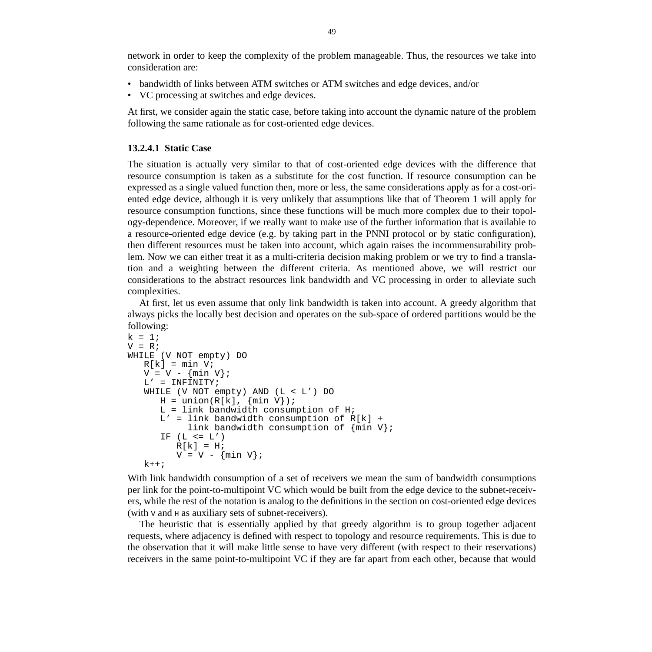network in order to keep the complexity of the problem manageable. Thus, the resources we take into consideration are:

- bandwidth of links between ATM switches or ATM switches and edge devices, and/or
- VC processing at switches and edge devices.

At first, we consider again the static case, before taking into account the dynamic nature of the problem following the same rationale as for cost-oriented edge devices.

### **13.2.4.1 Static Case**

The situation is actually very similar to that of cost-oriented edge devices with the difference that resource consumption is taken as a substitute for the cost function. If resource consumption can be expressed as a single valued function then, more or less, the same considerations apply as for a cost-oriented edge device, although it is very unlikely that assumptions like that of Theorem 1 will apply for resource consumption functions, since these functions will be much more complex due to their topology-dependence. Moreover, if we really want to make use of the further information that is available to a resource-oriented edge device (e.g. by taking part in the PNNI protocol or by static configuration), then different resources must be taken into account, which again raises the incommensurability problem. Now we can either treat it as a multi-criteria decision making problem or we try to find a translation and a weighting between the different criteria. As mentioned above, we will restrict our considerations to the abstract resources link bandwidth and VC processing in order to alleviate such complexities.

At first, let us even assume that only link bandwidth is taken into account. A greedy algorithm that always picks the locally best decision and operates on the sub-space of ordered partitions would be the following:

```
k = 1;V = R;
WHILE (V NOT empty) DO
   R[k] = min V;
   V = V - \{min V\};L' = INFINITEWHILE (V NOT empty) AND (L < L') DO
      H = union(R[k], \{min V\});
      L = link bandwidth consumption of H;
      L' = link bandwidth consumption of R[k] +link bandwidth consumption of \{\min V\};
      IF (L \leq L')R[k] = H;
         V = V - \{min V\};k++;
```
With link bandwidth consumption of a set of receivers we mean the sum of bandwidth consumptions per link for the point-to-multipoint VC which would be built from the edge device to the subnet-receivers, while the rest of the notation is analog to the definitions in the section on cost-oriented edge devices (with  $\nu$  and  $H$  as auxiliary sets of subnet-receivers).

The heuristic that is essentially applied by that greedy algorithm is to group together adjacent requests, where adjacency is defined with respect to topology and resource requirements. This is due to the observation that it will make little sense to have very different (with respect to their reservations) receivers in the same point-to-multipoint VC if they are far apart from each other, because that would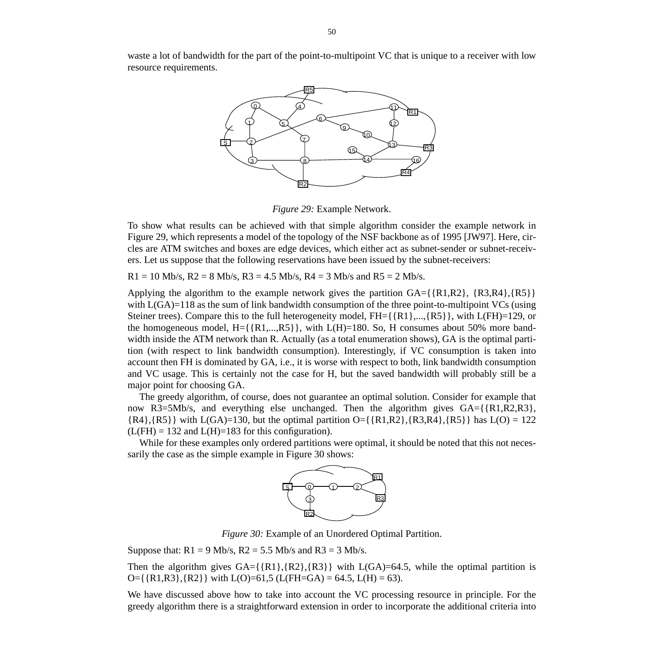waste a lot of bandwidth for the part of the point-to-multipoint VC that is unique to a receiver with low resource requirements.



*Figure 29:* Example Network.

To show what results can be achieved with that simple algorithm consider the example network in Figure 29, which represents a model of the topology of the NSF backbone as of 1995 [JW97]. Here, circles are ATM switches and boxes are edge devices, which either act as subnet-sender or subnet-receivers. Let us suppose that the following reservations have been issued by the subnet-receivers:

 $R1 = 10$  Mb/s,  $R2 = 8$  Mb/s,  $R3 = 4.5$  Mb/s,  $R4 = 3$  Mb/s and  $R5 = 2$  Mb/s.

Applying the algorithm to the example network gives the partition  $GA={R1,R2}$ ,  ${R3,R4}$ ,  ${R5}$ } with L(GA)=118 as the sum of link bandwidth consumption of the three point-to-multipoint VCs (using Steiner trees). Compare this to the full heterogeneity model, FH={{R1},...,{R5}}, with L(FH)=129, or the homogeneous model,  $H = \{R1,...,R5\}$ , with  $L(H) = 180$ . So, H consumes about 50% more bandwidth inside the ATM network than R. Actually (as a total enumeration shows), GA is the optimal partition (with respect to link bandwidth consumption). Interestingly, if VC consumption is taken into account then FH is dominated by GA, i.e., it is worse with respect to both, link bandwidth consumption and VC usage. This is certainly not the case for H, but the saved bandwidth will probably still be a major point for choosing GA.

The greedy algorithm, of course, does not guarantee an optimal solution. Consider for example that now R3=5Mb/s, and everything else unchanged. Then the algorithm gives GA={{R1,R2,R3},  ${R4}, {R5}$  with L(GA)=130, but the optimal partition O={{R1,R2},{R3,R4},{R5}} has L(O) = 122  $(L(FH) = 132$  and  $L(H)=183$  for this configuration).

While for these examples only ordered partitions were optimal, it should be noted that this not necessarily the case as the simple example in Figure 30 shows:



*Figure 30:* Example of an Unordered Optimal Partition.

Suppose that:  $R1 = 9$  Mb/s,  $R2 = 5.5$  Mb/s and  $R3 = 3$  Mb/s.

Then the algorithm gives  $GA = \{R1\}, \{R2\}, \{R3\}\}\$  with  $L(GA)=64.5$ , while the optimal partition is  $O=\{\{R1,R3\},\{R2\}\}\$  with  $L(O)=61,5$  ( $L(FH=GA) = 64.5$ ,  $L(H) = 63$ ).

We have discussed above how to take into account the VC processing resource in principle. For the greedy algorithm there is a straightforward extension in order to incorporate the additional criteria into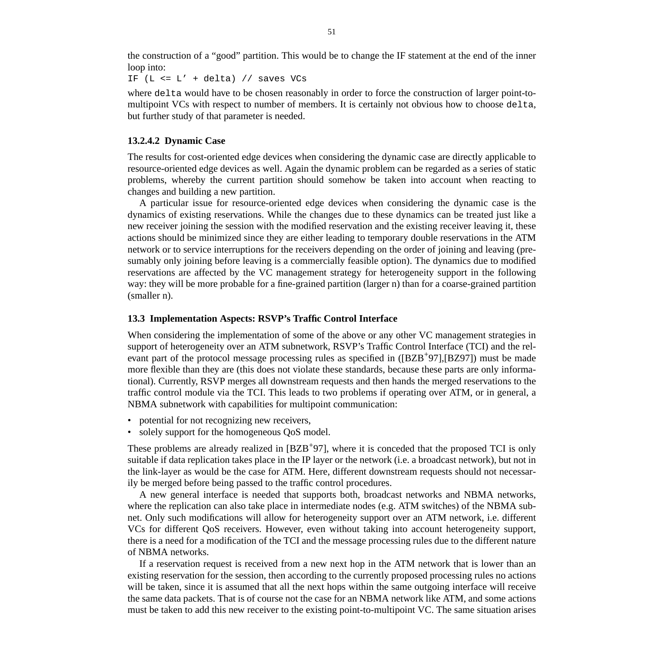<span id="page-51-0"></span>the construction of a "good" partition. This would be to change the IF statement at the end of the inner loop into:

IF  $(L \le L' + delta)$  // saves VCs

where delta would have to be chosen reasonably in order to force the construction of larger point-tomultipoint VCs with respect to number of members. It is certainly not obvious how to choose delta, but further study of that parameter is needed.

### **13.2.4.2 Dynamic Case**

The results for cost-oriented edge devices when considering the dynamic case are directly applicable to resource-oriented edge devices as well. Again the dynamic problem can be regarded as a series of static problems, whereby the current partition should somehow be taken into account when reacting to changes and building a new partition.

A particular issue for resource-oriented edge devices when considering the dynamic case is the dynamics of existing reservations. While the changes due to these dynamics can be treated just like a new receiver joining the session with the modified reservation and the existing receiver leaving it, these actions should be minimized since they are either leading to temporary double reservations in the ATM network or to service interruptions for the receivers depending on the order of joining and leaving (presumably only joining before leaving is a commercially feasible option). The dynamics due to modified reservations are affected by the VC management strategy for heterogeneity support in the following way: they will be more probable for a fine-grained partition (larger n) than for a coarse-grained partition (smaller n).

### **13.3 Implementation Aspects: RSVP's Traffic Control Interface**

When considering the implementation of some of the above or any other VC management strategies in support of heterogeneity over an ATM subnetwork, RSVP's Traffic Control Interface (TCI) and the relevant part of the protocol message processing rules as specified in ([BZB<sup>+</sup>97],[BZ97]) must be made more flexible than they are (this does not violate these standards, because these parts are only informational). Currently, RSVP merges all downstream requests and then hands the merged reservations to the traffic control module via the TCI. This leads to two problems if operating over ATM, or in general, a NBMA subnetwork with capabilities for multipoint communication:

- potential for not recognizing new receivers,
- solely support for the homogeneous QoS model.

These problems are already realized in [BZB<sup>+</sup>97], where it is conceded that the proposed TCI is only suitable if data replication takes place in the IP layer or the network (i.e. a broadcast network), but not in the link-layer as would be the case for ATM. Here, different downstream requests should not necessarily be merged before being passed to the traffic control procedures.

A new general interface is needed that supports both, broadcast networks and NBMA networks, where the replication can also take place in intermediate nodes (e.g. ATM switches) of the NBMA subnet. Only such modifications will allow for heterogeneity support over an ATM network, i.e. different VCs for different QoS receivers. However, even without taking into account heterogeneity support, there is a need for a modification of the TCI and the message processing rules due to the different nature of NBMA networks.

If a reservation request is received from a new next hop in the ATM network that is lower than an existing reservation for the session, then according to the currently proposed processing rules no actions will be taken, since it is assumed that all the next hops within the same outgoing interface will receive the same data packets. That is of course not the case for an NBMA network like ATM, and some actions must be taken to add this new receiver to the existing point-to-multipoint VC. The same situation arises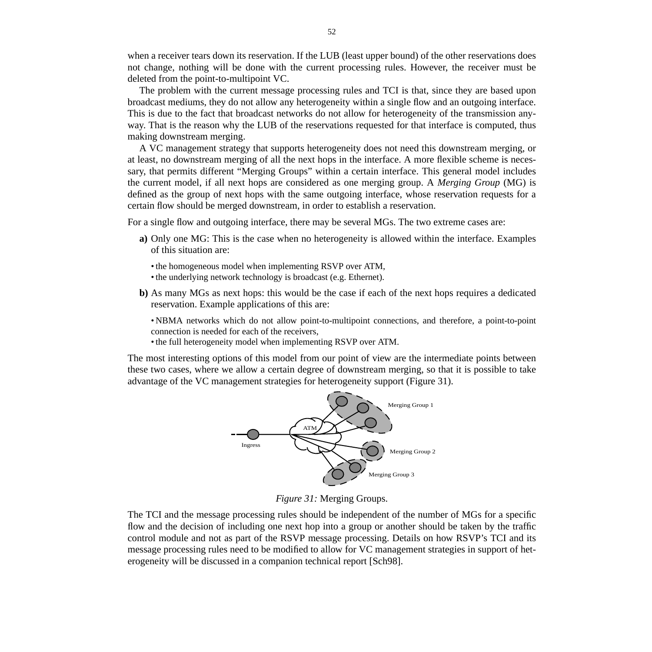when a receiver tears down its reservation. If the LUB (least upper bound) of the other reservations does not change, nothing will be done with the current processing rules. However, the receiver must be deleted from the point-to-multipoint VC.

The problem with the current message processing rules and TCI is that, since they are based upon broadcast mediums, they do not allow any heterogeneity within a single flow and an outgoing interface. This is due to the fact that broadcast networks do not allow for heterogeneity of the transmission anyway. That is the reason why the LUB of the reservations requested for that interface is computed, thus making downstream merging.

A VC management strategy that supports heterogeneity does not need this downstream merging, or at least, no downstream merging of all the next hops in the interface. A more flexible scheme is necessary, that permits different "Merging Groups" within a certain interface. This general model includes the current model, if all next hops are considered as one merging group. A *Merging Group* (MG) is defined as the group of next hops with the same outgoing interface, whose reservation requests for a certain flow should be merged downstream, in order to establish a reservation.

For a single flow and outgoing interface, there may be several MGs. The two extreme cases are:

- **a)** Only one MG: This is the case when no heterogeneity is allowed within the interface. Examples of this situation are:
	- the homogeneous model when implementing RSVP over ATM,
	- the underlying network technology is broadcast (e.g. Ethernet).
- **b)** As many MGs as next hops: this would be the case if each of the next hops requires a dedicated reservation. Example applications of this are:

• NBMA networks which do not allow point-to-multipoint connections, and therefore, a point-to-point connection is needed for each of the receivers,

• the full heterogeneity model when implementing RSVP over ATM.

The most interesting options of this model from our point of view are the intermediate points between these two cases, where we allow a certain degree of downstream merging, so that it is possible to take advantage of the VC management strategies for heterogeneity support (Figure 31).



*Figure 31:* Merging Groups.

The TCI and the message processing rules should be independent of the number of MGs for a specific flow and the decision of including one next hop into a group or another should be taken by the traffic control module and not as part of the RSVP message processing. Details on how RSVP's TCI and its message processing rules need to be modified to allow for VC management strategies in support of heterogeneity will be discussed in a companion technical report [Sch98].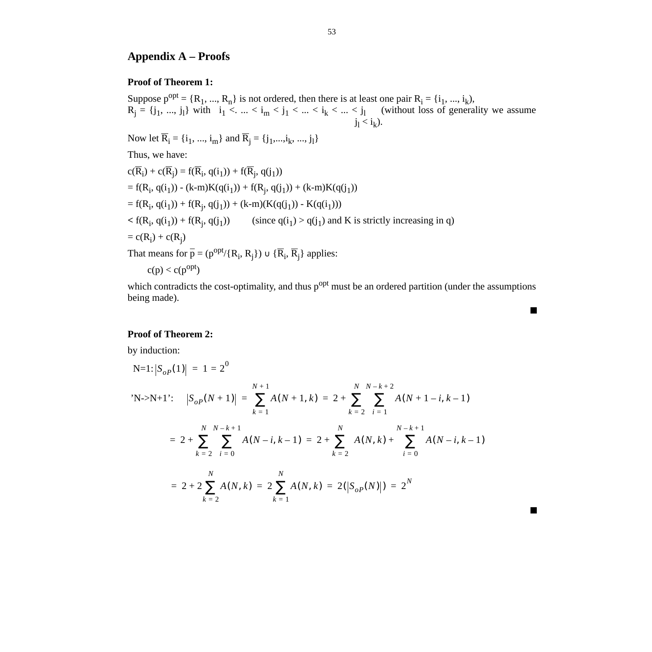### <span id="page-53-0"></span>**Appendix A – Proofs**

#### **Proof of Theorem 1:**

Suppose  $p^{opt} = \{R_1, ..., R_n\}$  is not ordered, then there is at least one pair  $R_i = \{i_1, ..., i_k\}$ ,  $R_j = \{j_1, ..., j_l\}$  with  $i_1 < ... < i_m < j_1 < ... < i_k < ... < j_l$  (without loss of generality we assume  $j_1 < i_k$ ). Now let  $\overline{R}_i = \{i_1, ..., i_m\}$  and  $\overline{R}_j = \{j_1, ..., i_k, ..., j_l\}$ Thus, we have:  $c(\overline{R}_{i}) + c(\overline{R}_{j}) = f(\overline{R}_{i}, q(i_1)) + f(\overline{R}_{j}, q(j_1))$  $= f(R_i, q(i_1)) - (k-m)K(q(i_1)) + f(R_j, q(j_1)) + (k-m)K(q(j_1))$  $= f(R_i, q(i_1)) + f(R_j, q(j_1)) + (k-m)(K(q(j_1)) - K(q(i_1)))$  $\langle f(R_i, q(i_1)) + f(R_j) \rangle$ (since  $q(i_1) > q(i_1)$  and K is strictly increasing in q)  $= c(R_i) + c(R_j)$ That means for  $\overline{p} = (p^{opt}/\{R_i, R_j\}) \cup \{\overline{R}_i, \overline{R}_j\}$  applies:  $c(p) < c(p^{opt})$ 

which contradicts the cost-optimality, and thus  $p^{opt}$  must be an ordered partition (under the assumptions being made).

■

■

#### **Proof of Theorem 2:**

by induction:

N=1: 
$$
|S_{oP}(1)| = 1 = 2^0
$$
  
\n'N>>N+1':  $|S_{oP}(N + 1)| = \sum_{k=1}^{N+1} A(N + 1, k) = 2 + \sum_{k=2}^{N} \sum_{i=1}^{N-k+2} A(N + 1 - i, k - 1)$   
\n $= 2 + \sum_{k=2}^{N} \sum_{i=0}^{N-k+1} A(N - i, k - 1) = 2 + \sum_{k=2}^{N} \left( A(N, k) + \sum_{i=0}^{N-k+1} A(N - i, k - 1) \right)$   
\n $= 2 + 2 \sum_{k=2}^{N} A(N, k) = 2 \sum_{k=1}^{N} A(N, k) = 2(|S_{oP}(N)|) = 2^N$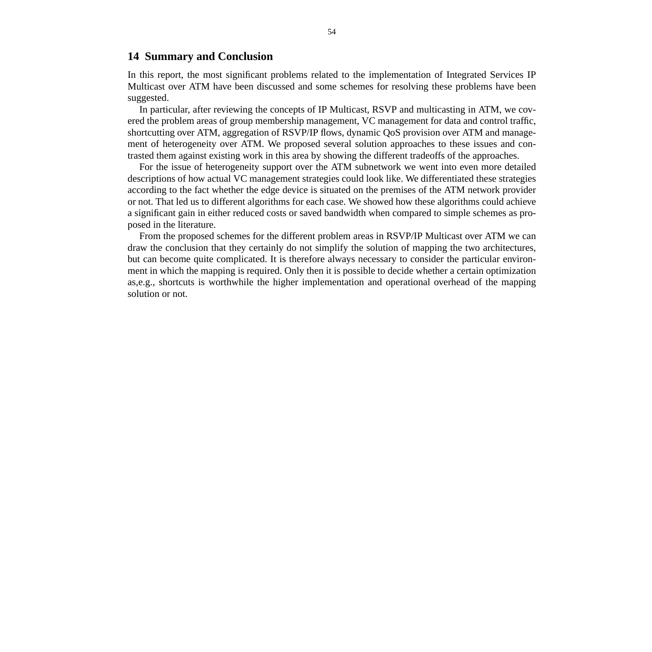### **14 Summary and Conclusion**

In this report, the most significant problems related to the implementation of Integrated Services IP Multicast over ATM have been discussed and some schemes for resolving these problems have been suggested.

In particular, after reviewing the concepts of IP Multicast, RSVP and multicasting in ATM, we covered the problem areas of group membership management, VC management for data and control traffic, shortcutting over ATM, aggregation of RSVP/IP flows, dynamic QoS provision over ATM and management of heterogeneity over ATM. We proposed several solution approaches to these issues and contrasted them against existing work in this area by showing the different tradeoffs of the approaches.

For the issue of heterogeneity support over the ATM subnetwork we went into even more detailed descriptions of how actual VC management strategies could look like. We differentiated these strategies according to the fact whether the edge device is situated on the premises of the ATM network provider or not. That led us to different algorithms for each case. We showed how these algorithms could achieve a significant gain in either reduced costs or saved bandwidth when compared to simple schemes as proposed in the literature.

From the proposed schemes for the different problem areas in RSVP/IP Multicast over ATM we can draw the conclusion that they certainly do not simplify the solution of mapping the two architectures, but can become quite complicated. It is therefore always necessary to consider the particular environment in which the mapping is required. Only then it is possible to decide whether a certain optimization as,e.g., shortcuts is worthwhile the higher implementation and operational overhead of the mapping solution or not.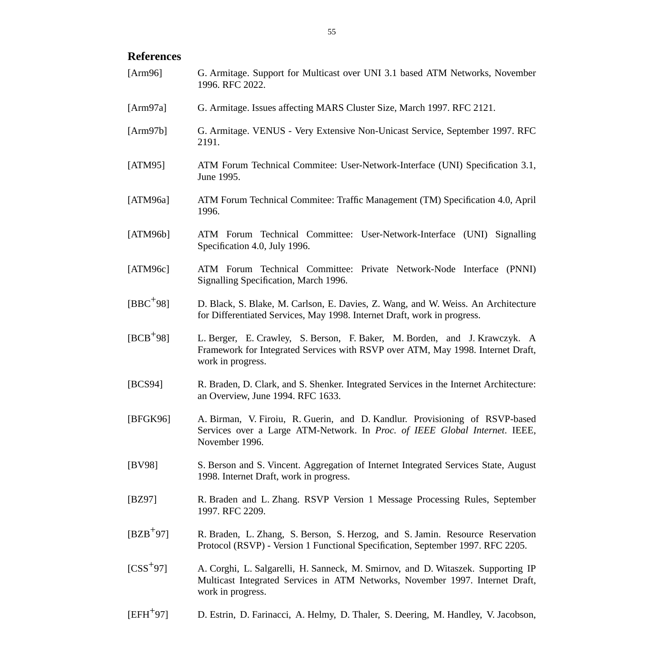# **References**

| [Arm96]       | G. Armitage. Support for Multicast over UNI 3.1 based ATM Networks, November<br>1996. RFC 2022.                                                                                        |
|---------------|----------------------------------------------------------------------------------------------------------------------------------------------------------------------------------------|
| [Arm $97a$ ]  | G. Armitage. Issues affecting MARS Cluster Size, March 1997. RFC 2121.                                                                                                                 |
| [Arm97b]      | G. Armitage. VENUS - Very Extensive Non-Unicast Service, September 1997. RFC<br>2191.                                                                                                  |
| [ATM95]       | ATM Forum Technical Commitee: User-Network-Interface (UNI) Specification 3.1,<br>June 1995.                                                                                            |
| [ $ATM96a$ ]  | ATM Forum Technical Commitee: Traffic Management (TM) Specification 4.0, April<br>1996.                                                                                                |
| [ATM96b]      | ATM Forum Technical Committee: User-Network-Interface (UNI) Signalling<br>Specification 4.0, July 1996.                                                                                |
| [ATM96c]      | ATM Forum Technical Committee: Private Network-Node Interface (PNNI)<br>Signalling Specification, March 1996.                                                                          |
| $[BBC^{+}98]$ | D. Black, S. Blake, M. Carlson, E. Davies, Z. Wang, and W. Weiss. An Architecture<br>for Differentiated Services, May 1998. Internet Draft, work in progress.                          |
| $[BCB^+98]$   | L. Berger, E. Crawley, S. Berson, F. Baker, M. Borden, and J. Krawczyk. A<br>Framework for Integrated Services with RSVP over ATM, May 1998. Internet Draft,<br>work in progress.      |
| [BCS94]       | R. Braden, D. Clark, and S. Shenker. Integrated Services in the Internet Architecture:<br>an Overview, June 1994. RFC 1633.                                                            |
| [BFGK96]      | A. Birman, V. Firoiu, R. Guerin, and D. Kandlur. Provisioning of RSVP-based<br>Services over a Large ATM-Network. In Proc. of IEEE Global Internet. IEEE,<br>November 1996.            |
| [BV98]        | S. Berson and S. Vincent. Aggregation of Internet Integrated Services State, August<br>1998. Internet Draft, work in progress.                                                         |
| [BZ97]        | R. Braden and L. Zhang. RSVP Version 1 Message Processing Rules, September<br>1997. RFC 2209.                                                                                          |
| $[BZB+97]$    | R. Braden, L. Zhang, S. Berson, S. Herzog, and S. Jamin. Resource Reservation<br>Protocol (RSVP) - Version 1 Functional Specification, September 1997. RFC 2205.                       |
| $[CSS+97]$    | A. Corghi, L. Salgarelli, H. Sanneck, M. Smirnov, and D. Witaszek. Supporting IP<br>Multicast Integrated Services in ATM Networks, November 1997. Internet Draft,<br>work in progress. |
| $[EFH^+97]$   | D. Estrin, D. Farinacci, A. Helmy, D. Thaler, S. Deering, M. Handley, V. Jacobson,                                                                                                     |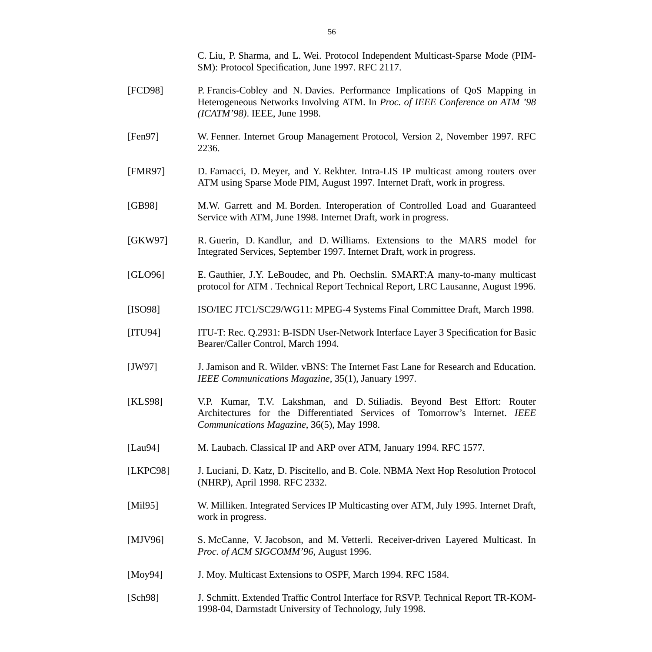|             | C. Liu, P. Sharma, and L. Wei. Protocol Independent Multicast-Sparse Mode (PIM-<br>SM): Protocol Specification, June 1997. RFC 2117.                                                               |
|-------------|----------------------------------------------------------------------------------------------------------------------------------------------------------------------------------------------------|
| [FCD98]     | P. Francis-Cobley and N. Davies. Performance Implications of QoS Mapping in<br>Heterogeneous Networks Involving ATM. In Proc. of IEEE Conference on ATM '98<br>(ICATM'98). IEEE, June 1998.        |
| [Ten97]     | W. Fenner. Internet Group Management Protocol, Version 2, November 1997. RFC<br>2236.                                                                                                              |
| [FMR97]     | D. Farnacci, D. Meyer, and Y. Rekhter. Intra-LIS IP multicast among routers over<br>ATM using Sparse Mode PIM, August 1997. Internet Draft, work in progress.                                      |
| [GB98]      | M.W. Garrett and M. Borden. Interoperation of Controlled Load and Guaranteed<br>Service with ATM, June 1998. Internet Draft, work in progress.                                                     |
| [GKW97]     | R. Guerin, D. Kandlur, and D. Williams. Extensions to the MARS model for<br>Integrated Services, September 1997. Internet Draft, work in progress.                                                 |
| [GLO96]     | E. Gauthier, J.Y. LeBoudec, and Ph. Oechslin. SMART:A many-to-many multicast<br>protocol for ATM. Technical Report Technical Report, LRC Lausanne, August 1996.                                    |
| [ISO98]     | ISO/IEC JTC1/SC29/WG11: MPEG-4 Systems Final Committee Draft, March 1998.                                                                                                                          |
| [ITU94]     | ITU-T: Rec. Q.2931: B-ISDN User-Network Interface Layer 3 Specification for Basic<br>Bearer/Caller Control, March 1994.                                                                            |
| [JW97]      | J. Jamison and R. Wilder. vBNS: The Internet Fast Lane for Research and Education.<br>IEEE Communications Magazine, 35(1), January 1997.                                                           |
| [KLS98]     | V.P. Kumar, T.V. Lakshman, and D. Stiliadis. Beyond Best Effort: Router<br>Architectures for the Differentiated Services of Tomorrow's Internet. IEEE<br>Communications Magazine, 36(5), May 1998. |
| [Lau $94$ ] | M. Laubach. Classical IP and ARP over ATM, January 1994. RFC 1577.                                                                                                                                 |
| [LKPC98]    | J. Luciani, D. Katz, D. Piscitello, and B. Cole. NBMA Next Hop Resolution Protocol<br>(NHRP), April 1998. RFC 2332.                                                                                |
| [Mi195]     | W. Milliken. Integrated Services IP Multicasting over ATM, July 1995. Internet Draft,<br>work in progress.                                                                                         |
| [MJV96]     | S. McCanne, V. Jacobson, and M. Vetterli. Receiver-driven Layered Multicast. In<br>Proc. of ACM SIGCOMM'96, August 1996.                                                                           |
| [Moy94]     | J. Moy. Multicast Extensions to OSPF, March 1994. RFC 1584.                                                                                                                                        |
| [Sch98]     | J. Schmitt. Extended Traffic Control Interface for RSVP. Technical Report TR-KOM-<br>1998-04, Darmstadt University of Technology, July 1998.                                                       |